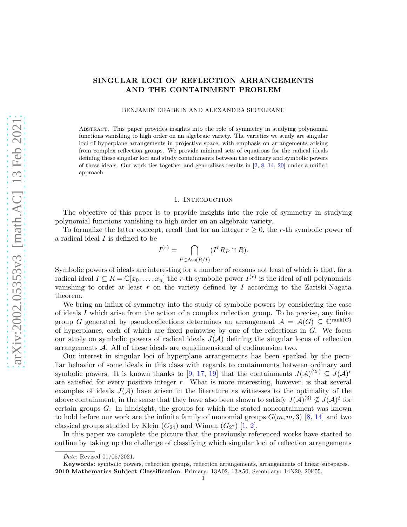# SINGULAR LOCI OF REFLECTION ARRANGEMENTS AND THE CONTAINMENT PROBLEM

BENJAMIN DRABKIN AND ALEXANDRA SECELEANU

Abstract. This paper provides insights into the role of symmetry in studying polynomial functions vanishing to high order on an algebraic variety. The varieties we study are singular loci of hyperplane arrangements in projective space, with emphasis on arrangements arising from complex reflection groups. We provide minimal sets of equations for the radical ideals defining these singular loci and study containments between the ordinary and symbolic powers of these ideals. Our work ties together and generalizes results in [\[2,](#page-25-0) [8,](#page-25-1) [14,](#page-25-2) [20\]](#page-25-3) under a unified approach.

#### 1. Introduction

The objective of this paper is to provide insights into the role of symmetry in studying polynomial functions vanishing to high order on an algebraic variety.

To formalize the latter concept, recall that for an integer  $r \geq 0$ , the r-th symbolic power of a radical ideal I is defined to be

$$
I^{(r)} = \bigcap_{P \in \text{Ass}(R/I)} (I^r R_P \cap R).
$$

Symbolic powers of ideals are interesting for a number of reasons not least of which is that, for a radical ideal  $I \subseteq R = \mathbb{C}[x_0, \ldots, x_n]$  the r-th symbolic power  $I^{(r)}$  is the ideal of all polynomials vanishing to order at least  $r$  on the variety defined by  $I$  according to the Zariski-Nagata theorem.

We bring an influx of symmetry into the study of symbolic powers by considering the case of ideals I which arise from the action of a complex reflection group. To be precise, any finite group G generated by pseudoreflections determines an arrangement  $A = \mathcal{A}(G) \subseteq \mathbb{C}^{\text{rank}(G)}$ of hyperplanes, each of which are fixed pointwise by one of the reflections in G. We focus our study on symbolic powers of radical ideals  $J(A)$  defining the singular locus of reflection arrangements A. All of these ideals are equidimensional of codimension two.

Our interest in singular loci of hyperplane arrangements has been sparked by the peculiar behavior of some ideals in this class with regards to containments between ordinary and symbolic powers. It is known thanks to [\[9,](#page-25-4) [17,](#page-25-5) [19\]](#page-25-6) that the containments  $J(A)^{(2r)} \subseteq J(A)^r$ are satisfied for every positive integer  $r$ . What is more interesting, however, is that several examples of ideals  $J(A)$  have arisen in the literature as witnesses to the optimality of the above containment, in the sense that they have also been shown to satisfy  $J(A)^{(3)} \nsubseteq J(A)^2$  for certain groups G. In hindsight, the groups for which the stated noncontainment was known to hold before our work are the infinite family of monomial groups  $G(m, m, 3)$  [\[8,](#page-25-1) [14\]](#page-25-2) and two classical groups studied by Klein  $(G_{24})$  and Wiman  $(G_{27})$  [\[1,](#page-25-7) [2\]](#page-25-0).

In this paper we complete the picture that the previously referenced works have started to outline by taking up the challenge of classifying which singular loci of reflection arrangements

Date: Revised 01/05/2021.

Keywords: symbolic powers, reflection groups, reflection arrangements, arrangements of linear subspaces. 2010 Mathematics Subject Classification: Primary: 13A02, 13A50; Secondary: 14N20, 20F55.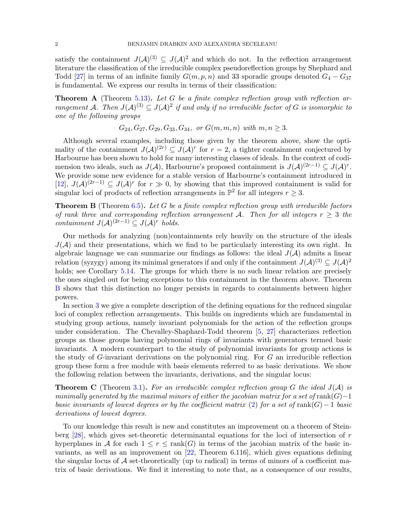satisfy the containment  $J(A)^{(3)} \subseteq J(A)^2$  and which do not. In the reflection arrangement literature the classification of the irreducible complex pseudoreflection groups by Shephard and Todd [\[27\]](#page-26-0) in terms of an infinite family  $G(m, p, n)$  and 33 sporadic groups denoted  $G_4 - G_{37}$ is fundamental. We express our results in terms of their classification:

<span id="page-1-1"></span>**Theorem A** (Theorem [5.13\)](#page-22-0). Let G be a finite complex reflection group with reflection arrangement A. Then  $J(A)^{(3)} \subseteq J(A)^2$  if and only if no irreducible factor of G is isomorphic to one of the following groups

$$
G_{24}, G_{27}, G_{29}, G_{33}, G_{34}, \text{ or } G(m, m, n) \text{ with } m, n \geq 3.
$$

Although several examples, including those given by the theorem above, show the optimality of the containment  $J(A)^{(2r)} \subseteq J(A)^r$  for  $r = 2$ , a tighter containment conjectured by Harbourne has been shown to hold for many interesting classes of ideals. In the context of codimension two ideals, such as  $J(\mathcal{A})$ , Harbourne's proposed containment is  $J(\mathcal{A})^{(2r-1)} \subseteq J(\mathcal{A})^r$ . We provide some new evidence for a stable version of Harbourne's containment introduced in [\[12\]](#page-25-8),  $J(\mathcal{A})^{(2r-1)} \subseteq J(\mathcal{A})^r$  for  $r \gg 0$ , by showing that this improved containment is valid for singular loci of products of reflection arrangements in  $\mathbb{P}^2$  for all integers  $r \geq 3$ .

<span id="page-1-0"></span>**Theorem B** (Theorem  $6.5$ ). Let G be a finite complex reflection group with irreducible factors of rank three and corresponding reflection arrangement A. Then for all integers  $r \geq 3$  the containment  $J(A)^{(2r-1)} \subseteq J(A)^r$  holds.

Our methods for analyzing (non)containments rely heavily on the structure of the ideals  $J(\mathcal{A})$  and their presentations, which we find to be particularly interesting its own right. In algebraic language we can summarize our findings as follows: the ideal  $J(A)$  admits a linear relation (syzygy) among its minimal generators if and only if the containment  $J(A)^{(3)} \subseteq J(A)^2$ holds; see Corollary [5.14.](#page-22-1) The groups for which there is no such linear relation are precisely the ones singled out for being exceptions to this containment in the theorem above. Theorem [B](#page-1-0) shows that this distinction no longer persists in regards to containments between higher powers.

In section [3](#page-4-0) we give a complete description of the defining equations for the reduced singular loci of complex reflection arrangements. This builds on ingredients which are fundamental in studying group actions, namely invariant polynomials for the action of the reflection groups under consideration. The Chevalley-Shaphard-Todd theorem [\[5,](#page-25-9) [27\]](#page-26-0) characterizes reflection groups as those groups having polynomial rings of invariants with generators termed basic invariants. A modern counterpart to the study of polynomial invariants for group actions is the study of  $G$ -invariant derivations on the polynomial ring. For  $G$  an irreducible reflection group these form a free module with basis elements referred to as basic derivations. We show the following relation between the invariants, derivations, and the singular locus:

**Theorem C** (Theorem [3.1\)](#page-4-1). For an irreducible complex reflection group G the ideal  $J(A)$  is minimally generated by the maximal minors of either the jacobian matrix for a set of rank( $G$ )−1 basic invariants of lowest degrees or by the coefficient matrix [\(2\)](#page-3-0) for a set of rank( $G$ ) – 1 basic derivations of lowest degrees.

To our knowledge this result is new and constitutes an improvement on a theorem of Steinberg  $[28]$ , which gives set-theoretic determinantal equations for the loci of intersection of r hyperplanes in A for each  $1 \leq r \leq \text{rank}(G)$  in terms of the jacobian matrix of the basic invariants, as well as an improvement on [\[22,](#page-25-10) Theorem 6.116], which gives equations defining the singular locus of  $A$  set-theoretically (up to radical) in terms of minors of a coefficeint matrix of basic derivations. We find it interesting to note that, as a consequence of our results,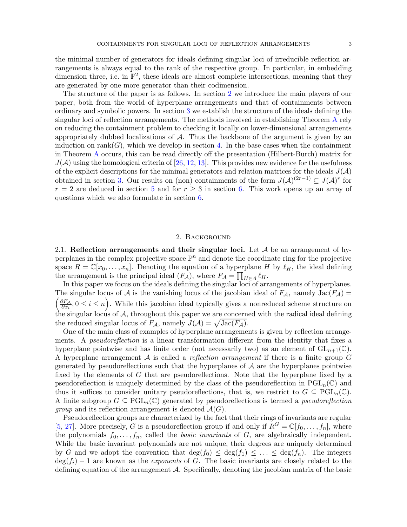the minimal number of generators for ideals defining singular loci of irreducible reflection arrangements is always equal to the rank of the respective group. In particular, in embedding dimension three, i.e. in  $\mathbb{P}^2$ , these ideals are almost complete intersections, meaning that they are generated by one more generator than their codimension.

The structure of the paper is as follows. In section [2](#page-2-0) we introduce the main players of our paper, both from the world of hyperplane arrangements and that of containments between ordinary and symbolic powers. In section [3](#page-4-0) we establish the structure of the ideals defining the singular loci of reflection arrangements. The methods involved in establishing Theorem [A](#page-1-1) rely on reducing the containment problem to checking it locally on lower-dimensional arrangements appropriately dubbed localizations of  $A$ . Thus the backbone of the argument is given by an induction on  $\text{rank}(G)$ , which we develop in section [4.](#page-12-0) In the base cases when the containment in Theorem [A](#page-1-1) occurs, this can be read directly off the presentation (Hilbert-Burch) matrix for  $J(A)$  using the homological criteria of [\[26,](#page-26-2) [12,](#page-25-8) [13\]](#page-25-11). This provides new evidence for the usefulness of the explicit descriptions for the minimal generators and relation matrices for the ideals  $J(\mathcal{A})$ obtained in section [3.](#page-4-0) Our results on (non) containments of the form  $J(\mathcal{A})^{(2r-1)} \subseteq J(\mathcal{A})^r$  for  $r = 2$  are deduced in section [5](#page-16-0) and for  $r \geq 3$  in section [6.](#page-22-2) This work opens up an array of questions which we also formulate in section [6.](#page-22-2)

### 2. Background

<span id="page-2-0"></span>2.1. Reflection arrangements and their singular loci. Let  $A$  be an arrangement of hyperplanes in the complex projective space  $\mathbb{P}^n$  and denote the coordinate ring for the projective space  $R = \mathbb{C}[x_0, \ldots, x_n]$ . Denoting the equation of a hyperplane H by  $\ell_H$ , the ideal defining the arrangement is the principal ideal  $(F_{\mathcal{A}})$ , where  $F_{\mathcal{A}} = \prod_{H \in \mathcal{A}} \ell_H$ .

In this paper we focus on the ideals defining the singular loci of arrangements of hyperplanes.  $\int \partial F_A$ The singular locus of A is the vanishing locus of the jacobian ideal of  $F_A$ , namely  $Jac(F_A)$  $\frac{\partial F_A}{\partial x_i}, 0 \leq i \leq n$ . While this jacobian ideal typically gives a nonreduced scheme structure on the singular locus of  $A$ , throughout this paper we are concerned with the radical ideal defining the reduced singular locus of  $F_{\mathcal{A}}$ , namely  $J(\mathcal{A}) = \sqrt{\text{Jac}(F_{\mathcal{A}})}$ .

One of the main class of examples of hyperplane arrangements is given by reflection arrangements. A *pseudoreflection* is a linear transformation different from the identity that fixes a hyperplane pointwise and has finite order (not necessarily two) as an element of  $GL_{n+1}(\mathbb{C})$ . A hyperplane arrangement  $A$  is called a *reflection arrangement* if there is a finite group  $G$ generated by pseudoreflections such that the hyperplanes of  $A$  are the hyperplanes pointwise fixed by the elements of G that are pseudoreflections. Note that the hyperplane fixed by a pseudoreflection is uniquely determined by the class of the pseudoreflection in  $PGL_n(\mathbb{C})$  and thus it suffices to consider unitary pseudoreflections, that is, we restrict to  $G \subseteq \text{PGL}_n(\mathbb{C})$ . A finite subgroup  $G \subseteq \text{PGL}_n(\mathbb{C})$  generated by pseudoreflections is termed a *pseudoreflection group* and its reflection arrangement is denoted  $\mathcal{A}(G)$ .

Pseudoreflection groups are characterized by the fact that their rings of invariants are regular [\[5,](#page-25-9) [27\]](#page-26-0). More precisely, G is a pseudoreflection group if and only if  $R^G = \mathbb{C}[f_0, \ldots, f_n]$ , where the polynomials  $f_0, \ldots, f_n$ , called the *basic invariants* of G, are algebraically independent. While the basic invariant polynomials are not unique, their degrees are uniquely determined by G and we adopt the convention that  $\deg(f_0) \leq \deg(f_1) \leq \ldots \leq \deg(f_n)$ . The integers  $deg(f_i) - 1$  are known as the *exponents* of G. The basic invariants are closely related to the defining equation of the arrangement A. Specifically, denoting the jacobian matrix of the basic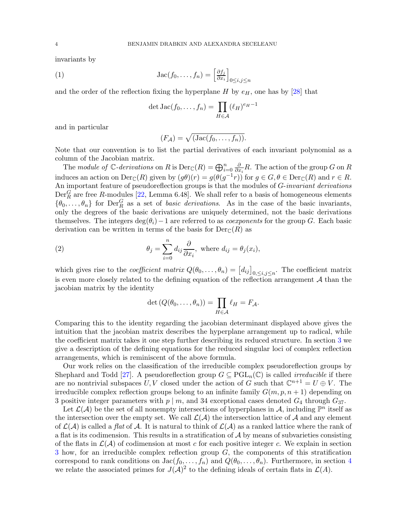invariants by

(1) 
$$
\operatorname{Jac}(f_0, \dots, f_n) = \left[\frac{\partial f_j}{\partial x_i}\right]_{0 \le i, j \le n}
$$

and the order of the reflection fixing the hyperplane H by  $e_H$ , one has by [\[28\]](#page-26-1) that

$$
\det \operatorname{Jac}(f_0, \dots, f_n) = \prod_{H \in \mathcal{A}} (\ell_H)^{e_H - 1}
$$

and in particular

$$
(F_{\mathcal{A}}) = \sqrt{(\text{Jac}(f_0, \ldots, f_n))}.
$$

Note that our convention is to list the partial derivatives of each invariant polynomial as a column of the Jacobian matrix.

The module of  $\mathbb{C}$ -derivations on R is  $\text{Der}_{\mathbb{C}}(R) = \bigoplus_{i=0}^{n} \frac{\partial}{\partial x_i}$  $\frac{\partial}{\partial x_i}R$ . The action of the group G on R induces an action on  $Der_{\mathbb{C}}(R)$  given by  $(g\theta)(r) = g(\theta(g^{-1}r))$  for  $g \in G, \theta \in Der_{\mathbb{C}}(R)$  and  $r \in R$ . An important feature of pseudoreflection groups is that the modules of G-invariant derivations  $Der_R^G$  are free R-modules [\[22,](#page-25-10) Lemma 6.48]. We shall refer to a basis of homogeneous elements  $\{\theta_0,\ldots,\theta_n\}$  for  $\mathrm{Der}^G_R$  as a set of *basic derivations*. As in the case of the basic invariants, only the degrees of the basic derivations are uniquely determined, not the basic derivations themselves. The integers deg( $\theta_i$ ) – 1 are referred to as *coexponents* for the group G. Each basic derivation can be written in terms of the basis for  $Der_{\mathbb{C}}(R)$  as

(2) 
$$
\theta_j = \sum_{i=0}^n d_{ij} \frac{\partial}{\partial x_i}, \text{ where } d_{ij} = \theta_j(x_i),
$$

which gives rise to the *coefficient matrix*  $Q(\theta_0, \ldots, \theta_n) = [d_{ij}]_{0, \le i, j \le n}$ . The coefficient matrix is even more closely related to the defining equation of the reflection arrangement  $A$  than the jacobian matrix by the identity

<span id="page-3-0"></span>
$$
\det(Q(\theta_0,\ldots,\theta_n))=\prod_{H\in\mathcal{A}}\ell_H=F_{\mathcal{A}}.
$$

Comparing this to the identity regarding the jacobian determinant displayed above gives the intuition that the jacobian matrix describes the hyperplane arrangement up to radical, while the coefficient matrix takes it one step further describing its reduced structure. In section [3](#page-4-0) we give a description of the defining equations for the reduced singular loci of complex reflection arrangements, which is reminiscent of the above formula.

Our work relies on the classification of the irreducible complex pseudoreflection groups by Shephard and Todd [\[27\]](#page-26-0). A pseudoreflection group  $G \subseteq \text{PGL}_n(\mathbb{C})$  is called *irreducible* if there are no nontrivial subspaces  $U, V$  closed under the action of G such that  $\mathbb{C}^{n+1} = U \oplus V$ . The irreducible complex reflection groups belong to an infinite family  $G(m, p, n + 1)$  depending on 3 positive integer parameters with  $p \mid m$ , and 34 exceptional cases denoted  $G_4$  through  $G_{37}$ .

Let  $\mathcal{L}(\mathcal{A})$  be the set of all nonempty intersections of hyperplanes in  $\mathcal{A}$ , including  $\mathbb{P}^n$  itself as the intersection over the empty set. We call  $\mathcal{L}(\mathcal{A})$  the intersection lattice of  $\mathcal{A}$  and any element of  $\mathcal{L}(\mathcal{A})$  is called a flat of  $\mathcal{A}$ . It is natural to think of  $\mathcal{L}(\mathcal{A})$  as a ranked lattice where the rank of a flat is its codimension. This results in a stratification of  $A$  by means of subvarieties consisting of the flats in  $\mathcal{L}(\mathcal{A})$  of codimension at most c for each positive integer c. We explain in section  $3$  how, for an irreducible complex reflection group  $G$ , the components of this stratification correspond to rank conditions on  $Jac(f_0, ..., f_n)$  and  $Q(\theta_0, ..., \theta_n)$ . Furthermore, in section [4](#page-12-0) we relate the associated primes for  $J(A)^2$  to the defining ideals of certain flats in  $\mathcal{L}(A)$ .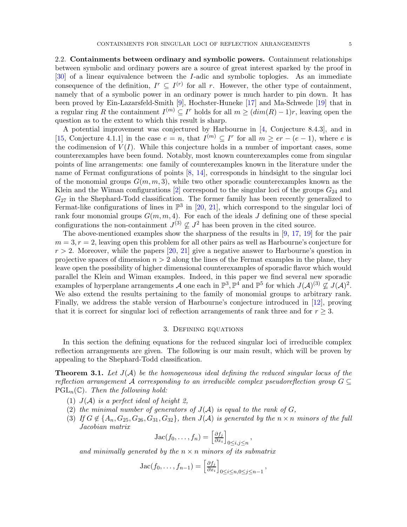2.2. Containments between ordinary and symbolic powers. Containment relationships between symbolic and ordinary powers are a source of great interest sparked by the proof in [\[30\]](#page-26-3) of a linear equivalence between the I-adic and symbolic toplogies. As an immediate consequence of the definition,  $I^r \subseteq I^{(r)}$  for all r. However, the other type of containment, namely that of a symbolic power in an ordinary power is much harder to pin down. It has been proved by Ein-Lazarsfeld-Smith [\[9\]](#page-25-4), Hochster-Huneke [\[17\]](#page-25-5) and Ma-Schwede [\[19\]](#page-25-6) that in a regular ring R the containment  $I^{(m)} \subseteq I^r$  holds for all  $m \geq (dim(R) - 1)r$ , leaving open the question as to the extent to which this result is sharp.

A potential improvement was conjectured by Harbourne in [\[4,](#page-25-12) Conjecture 8.4.3], and in [\[15,](#page-25-13) Conjecture 4.1.1] in the case  $e = n$ , that  $I^{(m)} \subseteq I^r$  for all  $m \geq er - (e - 1)$ , where e is the codimension of  $V(I)$ . While this conjecture holds in a number of important cases, some counterexamples have been found. Notably, most known counterexamples come from singular points of line arrangements: one family of counterexamples known in the literature under the name of Fermat configurations of points [\[8,](#page-25-1) [14\]](#page-25-2), corresponds in hindsight to the singular loci of the monomial groups  $G(m, m, 3)$ , while two other sporadic counterexamples known as the Klein and the Wiman configurations  $[2]$  correspond to the singular loci of the groups  $G_{24}$  and  $G_{27}$  in the Shephard-Todd classification. The former family has been recently generalized to Fermat-like configurations of lines in  $\mathbb{P}^3$  in [\[20,](#page-25-3) [21\]](#page-25-14), which correspond to the singular loci of rank four monomial groups  $G(m, m, 4)$ . For each of the ideals J defining one of these special configurations the non-containment  $J^{(3)} \nsubseteq J^2$  has been proven in the cited source.

The above-mentioned examples show the sharpness of the results in [\[9,](#page-25-4) [17,](#page-25-5) [19\]](#page-25-6) for the pair  $m = 3, r = 2$ , leaving open this problem for all other pairs as well as Harbourne's conjecture for  $r > 2$ . Moreover, while the papers [\[20,](#page-25-3) [21\]](#page-25-14) give a negative answer to Harbourne's question in projective spaces of dimension  $n > 2$  along the lines of the Fermat examples in the plane, they leave open the possibility of higher dimensional counterexamples of sporadic flavor which would parallel the Klein and Wiman examples. Indeed, in this paper we find several new sporadic examples of hyperplane arrangements  $\mathcal A$  one each in  $\mathbb P^3$ ,  $\mathbb P^4$  and  $\mathbb P^5$  for which  $J(\mathcal A)^{(3)} \nsubseteq J(\mathcal A)^2$ . We also extend the results pertaining to the family of monomial groups to arbitrary rank. Finally, we address the stable version of Harbourne's conjecture introduced in [\[12\]](#page-25-8), proving that it is correct for singular loci of reflection arrangements of rank three and for  $r \geq 3$ .

# 3. Defining equations

<span id="page-4-0"></span>In this section the defining equations for the reduced singular loci of irreducible complex reflection arrangements are given. The following is our main result, which will be proven by appealing to the Shephard-Todd classification.

<span id="page-4-1"></span>**Theorem 3.1.** Let  $J(A)$  be the homogeneous ideal defining the reduced singular locus of the reflection arrangement A corresponding to an irreducible complex pseudoreflection group  $G \subseteq$  $PGL_n(\mathbb{C})$ . Then the following hold:

- (1)  $J(A)$  is a perfect ideal of height 2,
- (2) the minimal number of generators of  $J(A)$  is equal to the rank of  $G$ ,
- (3) If  $G \notin \{A_n, G_{25}, G_{26}, G_{31}, G_{32}\}\$ , then  $J(A)$  is generated by the  $n \times n$  minors of the full Jacobian matrix

$$
Jac(f_0,\ldots,f_n)=\left[\frac{\partial f_j}{\partial x_i}\right]_{0\leq i,j\leq n},
$$

and minimally generated by the  $n \times n$  minors of its submatrix

Jac
$$
(f_0, ..., f_{n-1}) = \left[\frac{\partial f_j}{\partial x_i}\right]_{0 \le i \le n, 0 \le j \le n-1}
$$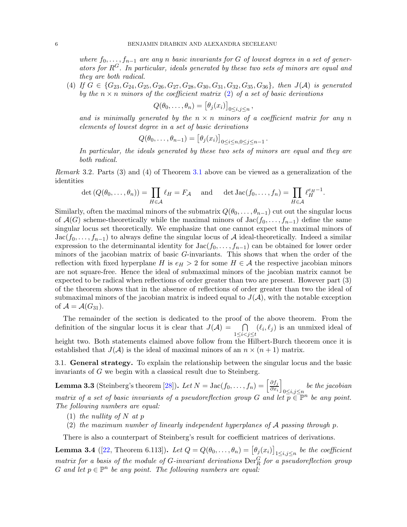where  $f_0, \ldots, f_{n-1}$  are any n basic invariants for G of lowest degrees in a set of generators for  $R<sup>G</sup>$ . In particular, ideals generated by these two sets of minors are equal and they are both radical.

(4) If  $G \in \{G_{23}, G_{24}, G_{25}, G_{26}, G_{27}, G_{28}, G_{30}, G_{31}, G_{32}, G_{35}, G_{36}\},\$  then  $J(A)$  is generated by the  $n \times n$  minors of the coefficient matrix [\(2\)](#page-3-0) of a set of basic derivations

$$
Q(\theta_0,\ldots,\theta_n) = \big[\theta_j(x_i)\big]_{0\leq i,j\leq n},
$$

and is minimally generated by the  $n \times n$  minors of a coefficient matrix for any n elements of lowest degree in a set of basic derivations

$$
Q(\theta_0,\ldots,\theta_{n-1}) = \big[\theta_j(x_i)\big]_{0 \leq i \leq n, 0 \leq j \leq n-1}.
$$

In particular, the ideals generated by these two sets of minors are equal and they are both radical.

Remark 3.2. Parts (3) and (4) of Theorem [3.1](#page-4-1) above can be viewed as a generalization of the identities

$$
\det(Q(\theta_0,\ldots,\theta_n)) = \prod_{H \in \mathcal{A}} \ell_H = F_{\mathcal{A}} \quad \text{and} \quad \det \operatorname{Jac}(f_0,\ldots,f_n) = \prod_{H \in \mathcal{A}} \ell_H^{e_H - 1}.
$$

Similarly, often the maximal minors of the submatrix  $Q(\theta_0, \ldots, \theta_{n-1})$  cut out the singular locus of  $\mathcal{A}(G)$  scheme-theoretically while the maximal minors of Jac $(f_0, \ldots, f_{n-1})$  define the same singular locus set theoretically. We emphasize that one cannot expect the maximal minors of  $Jac(f_0, \ldots, f_{n-1})$  to always define the singular locus of A ideal-theoretically. Indeed a similar expression to the determinantal identity for  $Jac(f_0, \ldots, f_{n-1})$  can be obtained for lower order minors of the jacobian matrix of basic G-invariants. This shows that when the order of the reflection with fixed hyperplane H is  $e_H > 2$  for some  $H \in \mathcal{A}$  the respective jacobian minors are not square-free. Hence the ideal of submaximal minors of the jacobian matrix cannot be expected to be radical when reflections of order greater than two are present. However part (3) of the theorem shows that in the absence of reflections of order greater than two the ideal of submaximal minors of the jacobian matrix is indeed equal to  $J(\mathcal{A})$ , with the notable exception of  $\mathcal{A} = \mathcal{A}(G_{31}).$ 

The remainder of the section is dedicated to the proof of the above theorem. From the definition of the singular locus it is clear that  $J(A)$  =  $1\leq i < j \leq t$  $(\ell_i, \ell_j)$  is an unmixed ideal of

height two. Both statements claimed above follow from the Hilbert-Burch theorem once it is established that  $J(\mathcal{A})$  is the ideal of maximal minors of an  $n \times (n+1)$  matrix.

3.1. General strategy. To explain the relationship between the singular locus and the basic invariants of G we begin with a classical result due to Steinberg.

<span id="page-5-0"></span>**Lemma 3.3** (Steinberg's theorem [\[28\]](#page-26-1)). Let  $N = \text{Jac}(f_0, \ldots, f_n) = \left[\frac{\partial f_j}{\partial x_i}\right]$  $\partial x_i$ i  $\sum_{0 \leq i,j \leq n}$  be the jacobian matrix of a set of basic invariants of a pseudoreflection group G and let  $p \in \mathbb{P}^n$  be any point. The following numbers are equal:

- (1) the nullity of N at p
- (2) the maximum number of linearly independent hyperplanes of A passing through p.

There is also a counterpart of Steinberg's result for coefficient matrices of derivations.

<span id="page-5-1"></span>**Lemma 3.4** ([\[22,](#page-25-10) Theorem 6.113]). Let  $Q = Q(\theta_0, \ldots, \theta_n) = [\theta_j(x_i)]_{1 \le i,j \le n}$  be the coefficient matrix for a basis of the module of G-invariant derivations  $\mathrm{Der}^G_R$  for a pseudoreflection group G and let  $p \in \mathbb{P}^n$  be any point. The following numbers are equal: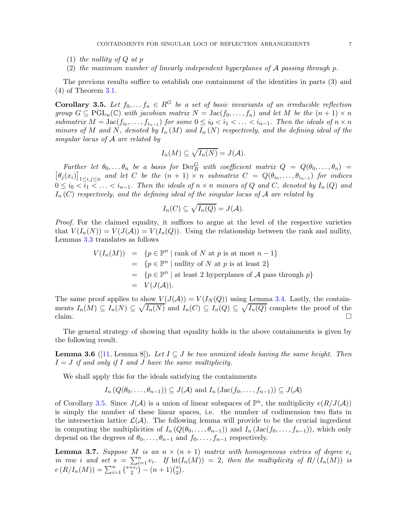- $(1)$  the nullity of Q at p
- (2) the maximum number of linearly independent hyperplanes of  $\mathcal A$  passing through p.

The previous results suffice to establish one containment of the identities in parts (3) and (4) of Theorem [3.1.](#page-4-1)

<span id="page-6-0"></span>**Corollary 3.5.** Let  $f_0, \ldots, f_n \in \mathbb{R}^G$  be a set of basic invariants of an irreducible reflection group  $G \subseteq \text{PGL}_n(\mathbb{C})$  with jacobian matrix  $N = \text{Jac}(f_0, \ldots, f_n)$  and let M be the  $(n+1) \times n$ submatrix  $M = \text{Jac}(f_{i_0}, \ldots, f_{i_{n-1}})$  for some  $0 \leq i_0 < i_1 < \ldots < i_{n-1}$ . Then the ideals of  $n \times n$ minors of M and N, denoted by  $I_n(M)$  and  $I_n(N)$  respectively, and the defining ideal of the singular locus of A are related by

$$
I_n(M) \subseteq \sqrt{I_n(N)} = J(\mathcal{A}).
$$

Further let  $\theta_0, \ldots \theta_n$  be a basis for  $\mathrm{Der}^G_R$  with coefficient matrix  $Q = Q(\theta_0, \ldots, \theta_n)$  $\left[\theta_j(x_i)\right]_{1\leq i,j\leq n}$  and let C be the  $(n+1) \times n$  submatrix  $C = Q(\theta_{i_0},\ldots,\theta_{i_{n-1}})$  for indices  $0 \leq i_0 < \overline{i_1} < \ldots < i_{n-1}$ . Then the ideals of  $n \times n$  minors of Q and C, denoted by  $I_n(Q)$  and  $I_n(C)$  respectively, and the defining ideal of the singular locus of A are related by

$$
I_n(C) \subseteq \sqrt{I_n(Q)} = J(\mathcal{A}).
$$

Proof. For the claimed equality, it suffices to argue at the level of the respective varieties that  $V(I_n(N)) = V(J(\mathcal{A})) = V(I_n(Q))$ . Using the relationship between the rank and nullity, Lemmas [3.3](#page-5-0) translates as follows

$$
V(I_n(M)) = \{p \in \mathbb{P}^n \mid \text{rank of } N \text{ at } p \text{ is at most } n - 1\}
$$
  
=  $\{p \in \mathbb{P}^n \mid \text{nullity of } N \text{ at } p \text{ is at least } 2\}$   
=  $\{p \in \mathbb{P}^n \mid \text{at least } 2 \text{ hyperplanes of } A \text{ pass through } p\}$   
=  $V(J(A)).$ 

The same proof applies to show  $V(J(\mathcal{A})) = V(I_N(Q))$  using Lemma [3.4.](#page-5-1) Lastly, the containments  $I_n(M) \subseteq I_n(N) \subseteq \sqrt{I_n(N)}$  and  $I_n(C) \subseteq I_n(Q) \subseteq \sqrt{I_n(Q)}$  complete the proof of the claim.  $\Box$ 

The general strategy of showing that equality holds in the above containments is given by the following result.

<span id="page-6-2"></span>**Lemma 3.6** ([\[11,](#page-25-15) Lemma 8]). Let  $I \subseteq J$  be two unmixed ideals having the same height. Then  $I = J$  if and only if I and J have the same multiplicity.

We shall apply this for the ideals satisfying the containments

$$
I_n(Q(\theta_0,\ldots,\theta_{n-1})) \subseteq J(\mathcal{A})
$$
 and  $I_n(\text{Jac}(f_0,\ldots,f_{n-1})) \subseteq J(\mathcal{A})$ 

of Corollary [3.5.](#page-6-0) Since  $J(A)$  is a union of linear subspaces of  $\mathbb{P}^n$ , the multiplicity  $e(R/J(A))$ is simply the number of these linear spaces, i.e. the number of codimension two flats in the intersection lattice  $\mathcal{L}(\mathcal{A})$ . The following lemma will provide to be the crucial ingredient in computing the multiplicities of  $I_n(Q(\theta_0, \ldots, \theta_{n-1}))$  and  $I_n(\text{Jac}(f_0, \ldots, f_{n-1}))$ , which only depend on the degrees of  $\theta_0, \ldots, \theta_{n-1}$  and  $f_0, \ldots, f_{n-1}$  respectively.

<span id="page-6-1"></span>**Lemma 3.7.** Suppose M is an  $n \times (n + 1)$  matrix with homogeneous entries of degree  $e_i$ in row i and set  $s = \sum_{i=1}^n e_i$ . If  $\mathrm{ht}(I_n(M)) = 2$ , then the multiplicity of  $R/(I_n(M))$  is  $e(R/I_n(M)) = \sum_{i=1}^n {\binom{s+e_i}{2}} - (n+1)\binom{s}{2}$  $_{2}^{s}$ ).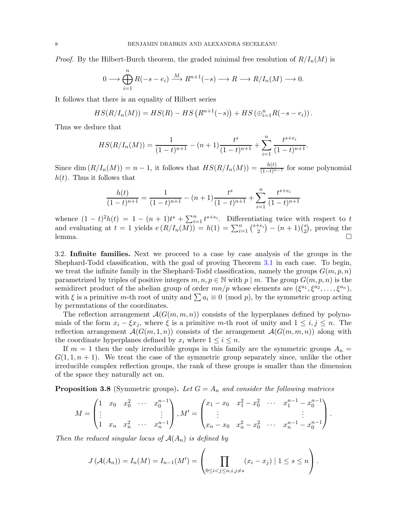*Proof.* By the Hilbert-Burch theorem, the graded minimal free resolution of  $R/I_n(M)$  is

$$
0 \longrightarrow \bigoplus_{i=1}^{n} R(-s - e_i) \xrightarrow{M} R^{n+1}(-s) \longrightarrow R \longrightarrow R/I_n(M) \longrightarrow 0.
$$

It follows that there is an equality of Hilbert series

$$
HS(R/I_n(M)) = HS(R) - HS(R^{n+1}(-s)) + HS(\bigoplus_{i=1}^n R(-s - e_i)).
$$

Thus we deduce that

$$
HS(R/I_n(M)) = \frac{1}{(1-t)^{n+1}} - (n+1)\frac{t^s}{(1-t)^{n+1}} + \sum_{i=1}^n \frac{t^{s+e_i}}{(1-t)^{n+1}}.
$$

Since dim  $(R/I_n(M)) = n - 1$ , it follows that  $HS(R/I_n(M)) = \frac{h(t)}{(1-t)^{n-1}}$  for some polynomial  $h(t)$ . Thus it follows that

$$
\frac{h(t)}{(1-t)^{n+1}} = \frac{1}{(1-t)^{n+1}} - (n+1)\frac{t^s}{(1-t)^{n+1}} + \sum_{i=1}^n \frac{t^{s+e_i}}{(1-t)^{n+1}}
$$

whence  $(1-t)^2h(t) = 1 - (n+1)t^s + \sum_{i=1}^n t^{s+e_i}$ . Differentiating twice with respect to t and evaluating at  $t = 1$  yields  $e(R/I_n(M)) = h(1) = \sum_{i=1}^n {s+e_i \choose 2}$  $\binom{+e_i}{2} - (n+1)\binom{s}{2}$  $_{2}^{s}$ ), proving the lemma.

3.2. Infinite families. Next we proceed to a case by case analysis of the groups in the Shephard-Todd classification, with the goal of proving Theorem [3.1](#page-4-1) in each case. To begin, we treat the infinite family in the Shephard-Todd classification, namely the groups  $G(m, p, n)$ parametrized by triples of positive integers  $m, n, p \in \mathbb{N}$  with p | m. The group  $G(m, p, n)$  is the semidirect product of the abelian group of order  $mn/p$  whose elements are  $(\xi^{a_1}, \xi^{a_2}, \ldots, \xi^{a_n}),$ with  $\xi$  is a primitive m-th root of unity and  $\sum a_i \equiv 0 \pmod{p}$ , by the symmetric group acting by permutations of the coordinates.

The reflection arrangement  $\mathcal{A}(G(m, m, n))$  consists of the hyperplanes defined by polynomials of the form  $x_i - \xi x_j$ , where  $\xi$  is a primitive m-th root of unity and  $1 \leq i, j \leq n$ . The reflection arrangement  $\mathcal{A}(G(m,1,n))$  consists of the arrangement  $\mathcal{A}(G(m,m,n))$  along with the coordinate hyperplanes defined by  $x_i$  where  $1 \leq i \leq n$ .

If  $m = 1$  then the only irreducible groups in this family are the symmetric groups  $A_n =$  $G(1, 1, n + 1)$ . We treat the case of the symmetric group separately since, unlike the other irreducible complex reflection groups, the rank of these groups is smaller than the dimension of the space they naturally act on.

<span id="page-7-0"></span>**Proposition 3.8** (Symmetric groups). Let  $G = A_n$  and consider the following matrices

$$
M = \begin{pmatrix} 1 & x_0 & x_0^2 & \cdots & x_0^{n-1} \\ \vdots & & & \vdots \\ 1 & x_n & x_n^2 & \cdots & x_n^{n-1} \end{pmatrix}, M' = \begin{pmatrix} x_1 - x_0 & x_1^2 - x_0^2 & \cdots & x_1^{n-1} - x_0^{n-1} \\ \vdots & & & \vdots \\ x_n - x_0 & x_n^2 - x_0^2 & \cdots & x_n^{n-1} - x_0^{n-1} \end{pmatrix}.
$$

Then the reduced singular locus of  $A(A_n)$  is defined by

$$
J(\mathcal{A}(A_n)) = I_n(M) = I_{n-1}(M') = \left(\prod_{0 \le i < j \le n, i, j \neq s} (x_i - x_j) \mid 1 \le s \le n\right).
$$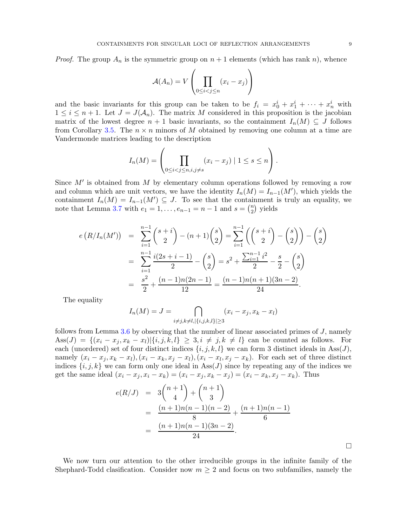*Proof.* The group  $A_n$  is the symmetric group on  $n + 1$  elements (which has rank n), whence

$$
\mathcal{A}(A_n) = V \left( \prod_{0 \le i < j \le n} (x_i - x_j) \right)
$$

and the basic invariants for this group can be taken to be  $f_i = x_0^i + x_1^i + \cdots + x_n^i$  with  $1 \leq i \leq n+1$ . Let  $J = J(\mathcal{A}_n)$ . The matrix M considered in this proposition is the jacobian matrix of the lowest degree  $n + 1$  basic invariants, so the containment  $I_n(M) \subseteq J$  follows from Corollary [3.5.](#page-6-0) The  $n \times n$  minors of M obtained by removing one column at a time are Vandermonde matrices leading to the description

$$
I_n(M) = \left(\prod_{0 \le i < j \le n, i, j \neq s} (x_i - x_j) \mid 1 \le s \le n\right).
$$

Since  $M'$  is obtained from  $M$  by elementary column operations followed by removing a row and column which are unit vectors, we have the identity  $I_n(M) = I_{n-1}(M')$ , which yields the containment  $I_n(M) = I_{n-1}(M') \subseteq J$ . To see that the containment is truly an equality, we note that Lemma [3.7](#page-6-1) with  $e_1 = 1, ..., e_{n-1} = n-1$  and  $s = \binom{n}{2}$  $n \choose 2$  yields

$$
e(R/I_n(M')) = \sum_{i=1}^{n-1} {s+i \choose 2} - (n+1){s \choose 2} = \sum_{i=1}^{n-1} \left({s+i \choose 2} - {s \choose 2}\right) - {s \choose 2}
$$
  

$$
= \sum_{i=1}^{n-1} \frac{i(2s+i-1)}{2} - {s \choose 2} = s^2 + \frac{\sum_{i=1}^{n-1} i^2}{2} - \frac{s}{2} - {s \choose 2}
$$
  

$$
= \frac{s^2}{2} + \frac{(n-1)n(2n-1)}{12} = \frac{(n-1)n(n+1)(3n-2)}{24}.
$$

The equality

$$
I_n(M) = J = \bigcap_{i \neq j, k \neq l, |\{i, j, k, l\}| \ge 3} (x_i - x_j, x_k - x_l)
$$

follows from Lemma [3.6](#page-6-2) by observing that the number of linear associated primes of J, namely Ass(J) =  $\{(x_i - x_j, x_k - x_l) | \{i, j, k, l\} \geq 3, i \neq j, k \neq l\}$  can be counted as follows. For each (unordered) set of four distinct indices  $\{i, j, k, l\}$  we can form 3 distinct ideals in Ass(J), namely  $(x_i - x_j, x_k - x_l), (x_i - x_k, x_j - x_l), (x_i - x_l, x_j - x_k)$ . For each set of three distinct indices  $\{i, j, k\}$  we can form only one ideal in Ass(J) since by repeating any of the indices we get the same ideal  $(x_i - x_j, x_i - x_k) = (x_i - x_j, x_k - x_j) = (x_i - x_k, x_j - x_k)$ . Thus

$$
e(R/J) = 3\binom{n+1}{4} + \binom{n+1}{3}
$$
  
= 
$$
\frac{(n+1)n(n-1)(n-2)}{8} + \frac{(n+1)n(n-1)}{6}
$$
  
= 
$$
\frac{(n+1)n(n-1)(3n-2)}{24}.
$$

 $\Box$ 

We now turn our attention to the other irreducible groups in the infinite family of the Shephard-Todd clasification. Consider now  $m \geq 2$  and focus on two subfamilies, namely the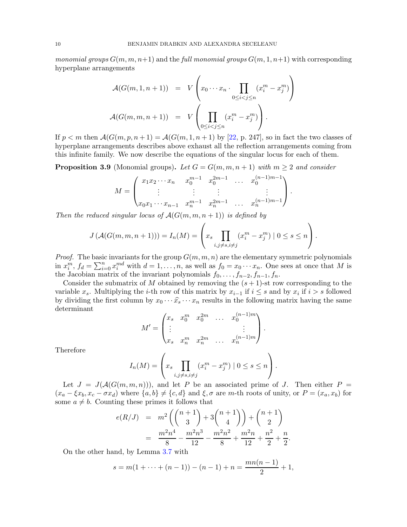*monomial groups*  $G(m, m, n+1)$  and the full monomial groups  $G(m, 1, n+1)$  with corresponding hyperplane arrangements

$$
\mathcal{A}(G(m,1,n+1)) = V\left(x_0 \cdots x_n \cdot \prod_{0 \le i < j \le n} (x_i^m - x_j^m)\right)
$$
\n
$$
\mathcal{A}(G(m,m,n+1)) = V\left(\prod_{0 \le i < j \le n} (x_i^m - x_j^m)\right).
$$

If  $p < m$  then  $\mathcal{A}(G(m, p, n+1) = \mathcal{A}(G(m, 1, n+1)$  by [\[22,](#page-25-10) p. 247], so in fact the two classes of hyperplane arrangements describes above exhaust all the reflection arrangements coming from this infinite family. We now describe the equations of the singular locus for each of them.

<span id="page-9-0"></span>**Proposition 3.9** (Monomial groups). Let  $G = G(m, m, n + 1)$  with  $m \geq 2$  and consider

$$
M = \begin{pmatrix} x_1 x_2 \cdots x_n & x_0^{m-1} & x_0^{2m-1} & \cdots & x_0^{(n-1)m-1} \\ \vdots & \vdots & \vdots & & \vdots \\ x_0 x_1 \cdots x_{n-1} & x_n^{m-1} & x_n^{2m-1} & \cdots & x_n^{(n-1)m-1} \end{pmatrix}.
$$

Then the reduced singular locus of  $A(G(m, m, n + 1))$  is defined by

$$
J\left(\mathcal{A}(G(m,m,n+1))\right) = I_n(M) = \left(x_s \prod_{i,j \neq s, i \neq j} (x_i^m - x_j^m) \mid 0 \leq s \leq n\right).
$$

*Proof.* The basic invariants for the group  $G(m, m, n)$  are the elementary symmetric polynomials in  $x_i^m$ ,  $f_d = \sum_{i=0}^n x_i^{md}$  with  $d = 1, \ldots, n$ , as well as  $f_0 = x_0 \cdots x_n$ . One sees at once that M is the Jacobian matrix of the invariant polynomials  $f_0, \ldots, f_{n-2}, f_{n-1}, f_n$ .

Consider the submatrix of M obtained by removing the  $(s + 1)$ -st row corresponding to the variable  $x_s$ . Multiplying the *i*-th row of this matrix by  $x_{i-1}$  if  $i \leq s$  and by  $x_i$  if  $i > s$  followed by dividing the first column by  $x_0 \cdots \hat{x}_s \cdots x_n$  results in the following matrix having the same determinant

$$
M' = \begin{pmatrix} x_s & x_0^m & x_0^{2m} & \dots & x_0^{(n-1)m} \\ \vdots & & & \vdots \\ x_s & x_n^m & x_n^{2m} & \dots & x_n^{(n-1)m} \end{pmatrix}.
$$

Therefore

$$
I_n(M) = \left(x_s \prod_{i,j \neq s, i \neq j} (x_i^m - x_j^m) \mid 0 \leq s \leq n\right).
$$

Let  $J = J(A(G(m, m, n)))$ , and let P be an associated prime of J. Then either P =  $(x_a - \xi x_b, x_c - \sigma x_d)$  where  $\{a, b\} \neq \{c, d\}$  and  $\xi, \sigma$  are m-th roots of unity, or  $P = (x_a, x_b)$  for some  $a \neq b$ . Counting these primes it follows that

$$
e(R/J) = m^2 \left( {n+1 \choose 3} + 3 {n+1 \choose 4} \right) + {n+1 \choose 2}
$$
  
= 
$$
\frac{m^2 n^4}{8} - \frac{m^2 n^3}{12} - \frac{m^2 n^2}{8} + \frac{m^2 n}{12} + \frac{n^2}{2} + \frac{n}{2}.
$$

On the other hand, by Lemma [3.7](#page-6-1) with

$$
s = m(1 + \dots + (n - 1)) - (n - 1) + n = \frac{mn(n - 1)}{2} + 1,
$$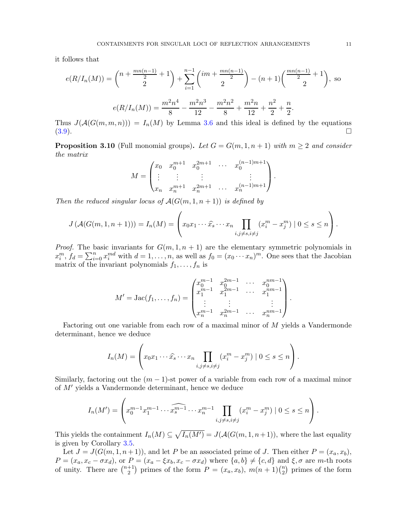it follows that

$$
e(R/I_n(M)) = {n + \frac{mn(n-1)}{2} + 1 \choose 2} + \sum_{i=1}^{n-1} {im + \frac{mn(n-1)}{2} \choose 2} - (n+1) \left(\frac{mn(n-1)}{2} + 1\right), \text{ so}
$$

$$
e(R/I_n(M)) = \frac{m^2 n^4}{8} - \frac{m^2 n^3}{12} - \frac{m^2 n^2}{8} + \frac{m^2 n}{12} + \frac{n^2}{2} + \frac{n}{2}.
$$

Thus  $J(A(G(m, m, n))) = I_n(M)$  by Lemma [3.6](#page-6-2) and this ideal is defined by the equations  $(3.9)$ .

<span id="page-10-0"></span>**Proposition 3.10** (Full monomial groups). Let  $G = G(m, 1, n + 1)$  with  $m \geq 2$  and consider the matrix

$$
M = \begin{pmatrix} x_0 & x_0^{m+1} & x_0^{2m+1} & \cdots & x_0^{(n-1)m+1} \\ \vdots & \vdots & \vdots & & \vdots \\ x_n & x_n^{m+1} & x_n^{2m+1} & \cdots & x_n^{(n-1)m+1} \end{pmatrix}.
$$

Then the reduced singular locus of  $\mathcal{A}(G(m, 1, n+1))$  is defined by

$$
J\left(\mathcal{A}(G(m,1,n+1))\right) = I_n(M) = \left(x_0x_1\cdots\widehat{x}_s\cdots x_n \prod_{i,j\neq s, i\neq j} (x_i^m - x_j^m) \mid 0 \leq s \leq n\right).
$$

*Proof.* The basic invariants for  $G(m, 1, n + 1)$  are the elementary symmetric polynomials in  $x_i^m$ ,  $f_d = \sum_{i=0}^n x_i^{md}$  with  $d = 1, \ldots, n$ , as well as  $f_0 = (x_0 \cdots x_n)^m$ . One sees that the Jacobian matrix of the invariant polynomials  $f_1, \ldots, f_n$  is

$$
M' = \text{Jac}(f_1, \dots, f_n) = \begin{pmatrix} x_0^{m-1} & x_0^{2m-1} & \cdots & x_0^{nm-1} \\ x_1^{m-1} & x_1^{2m-1} & \cdots & x_1^{nm-1} \\ \vdots & \vdots & & \vdots \\ x_n^{m-1} & x_n^{2m-1} & \cdots & x_n^{nm-1} \end{pmatrix}.
$$

Factoring out one variable from each row of a maximal minor of M yields a Vandermonde determinant, hence we deduce

$$
I_n(M) = \left(x_0x_1\cdots\widehat{x}_s\cdots x_n \prod_{i,j\neq s, i\neq j} (x_i^m - x_j^m) \mid 0 \leq s \leq n\right).
$$

Similarly, factoring out the  $(m - 1)$ -st power of a variable from each row of a maximal minor of M′ yields a Vandermonde determinant, hence we deduce

$$
I_n(M') = \left( x_0^{m-1} x_1^{m-1} \cdots \widehat{x_s^{m-1}} \cdots x_n^{m-1} \prod_{i,j \neq s, i \neq j} (x_i^m - x_j^m) \mid 0 \leq s \leq n \right).
$$

This yields the containment  $I_n(M) \subseteq \sqrt{I_n(M')} = J(\mathcal{A}(G(m, 1, n+1)),$  where the last equality is given by Corollary [3.5.](#page-6-0)

Let  $J = J(G(m, 1, n+1))$ , and let P be an associated prime of J. Then either  $P = (x_a, x_b)$ ,  $P = (x_a, x_c - \sigma x_d)$ , or  $P = (x_a - \xi x_b, x_c - \sigma x_d)$  where  $\{a, b\} \neq \{c, d\}$  and  $\xi, \sigma$  are m-th roots of unity. There are  $\binom{n+1}{2}$  $\binom{+1}{2}$  primes of the form  $P = (x_a, x_b), m(n + 1) \binom{n}{2}$  $\binom{n}{2}$  primes of the form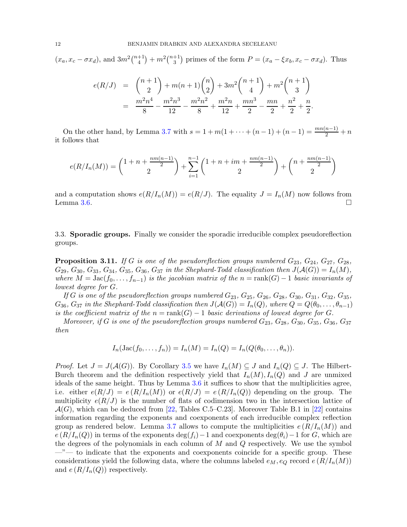$(x_a, x_c - \sigma x_d)$ , and  $3m^2\binom{n+1}{4}$  $\binom{+1}{4} + m^2 \binom{n+1}{3}$ <sup>+1</sup>) primes of the form  $P = (x_a - \xi x_b, x_c - \sigma x_d)$ . Thus

$$
e(R/J) = {n+1 \choose 2} + m(n+1){n \choose 2} + 3m^2 {n+1 \choose 4} + m^2 {n+1 \choose 3}
$$
  
= 
$$
\frac{m^2n^4}{8} - \frac{m^2n^3}{12} - \frac{m^2n^2}{8} + \frac{m^2n}{12} + \frac{mn^3}{2} - \frac{mn}{2} + \frac{n^2}{2} + \frac{n}{2}.
$$

On the other hand, by Lemma [3.7](#page-6-1) with  $s = 1 + m(1 + \cdots + (n-1) + (n-1) = \frac{mn(n-1)}{2} + n$ it follows that

$$
e(R/I_n(M)) = {1 + n + \frac{nm(n-1)}{2} \choose 2} + \sum_{i=1}^{n-1} {1 + n + im + \frac{nm(n-1)}{2} \choose 2} + {n + \frac{nm(n-1)}{2} \choose 2}
$$

and a computation shows  $e(R/I_n(M)) = e(R/J)$ . The equality  $J = I_n(M)$  now follows from Lemma [3.6.](#page-6-2)

3.3. Sporadic groups. Finally we consider the sporadic irreducible complex pseudoreflection groups.

<span id="page-11-0"></span>**Proposition 3.11.** If G is one of the pseudoreflection groups numbered  $G_{23}$ ,  $G_{24}$ ,  $G_{27}$ ,  $G_{28}$ ,  $G_{29}, G_{30}, G_{33}, G_{34}, G_{35}, G_{36}, G_{37}$  in the Shephard-Todd classification then  $J(A(G)) = I_n(M)$ , where  $M = \text{Jac}(f_0, \ldots, f_{n-1})$  is the jacobian matrix of the  $n = \text{rank}(G) - 1$  basic invariants of lowest degree for G.

If G is one of the pseudoreflection groups numbered  $G_{23}$ ,  $G_{25}$ ,  $G_{26}$ ,  $G_{28}$ ,  $G_{30}$ ,  $G_{31}$ ,  $G_{32}$ ,  $G_{35}$ ,  $G_{36}$ ,  $G_{37}$  in the Shephard-Todd classification then  $J(\mathcal{A}(G)) = I_n(Q)$ , where  $Q = Q(\theta_0, \ldots, \theta_{n-1})$ is the coefficient matrix of the  $n = \text{rank}(G) - 1$  basic derivations of lowest degree for G.

Moreover, if G is one of the pseudoreflection groups numbered  $G_{23}$ ,  $G_{28}$ ,  $G_{30}$ ,  $G_{35}$ ,  $G_{36}$ ,  $G_{37}$ then

$$
I_n(\operatorname{Jac}(f_0,\ldots,f_n))=I_n(M)=I_n(Q)=I_n(Q(\theta_0,\ldots,\theta_n)).
$$

*Proof.* Let  $J = J(\mathcal{A}(G))$ . By Corollary [3.5](#page-6-0) we have  $I_n(M) \subseteq J$  and  $I_n(Q) \subseteq J$ . The Hilbert-Burch theorem and the definition respectively yield that  $I_n(M), I_n(Q)$  and J are unmixed ideals of the same height. Thus by Lemma [3.6](#page-6-2) it suffices to show that the multiplicities agree, i.e. either  $e(R/J) = e(R/I_n(M))$  or  $e(R/J) = e(R/I_n(Q))$  depending on the group. The multiplicity  $e(R/J)$  is the number of flats of codimension two in the intersection lattice of  $\mathcal{A}(G)$ , which can be deduced from [\[22,](#page-25-10) Tables C.5–C.23]. Moreover Table B.1 in [\[22\]](#page-25-10) contains information regarding the exponents and coexponents of each irreducible complex reflection group as rendered below. Lemma [3.7](#page-6-1) allows to compute the multiplicities  $e(R/I_n(M))$  and  $e(R/I_n(Q))$  in terms of the exponents deg( $f_i$ )−1 and coexponents deg( $\theta_i$ )−1 for G, which are the degrees of the polynomials in each column of  $M$  and  $Q$  respectively. We use the symbol  $-$ "— to indicate that the exponents and coexponents coincide for a specific group. These considerations yield the following data, where the columns labeled  $e_M, e_Q$  record  $e(R/I_n(M))$ and  $e(R/I_n(Q))$  respectively.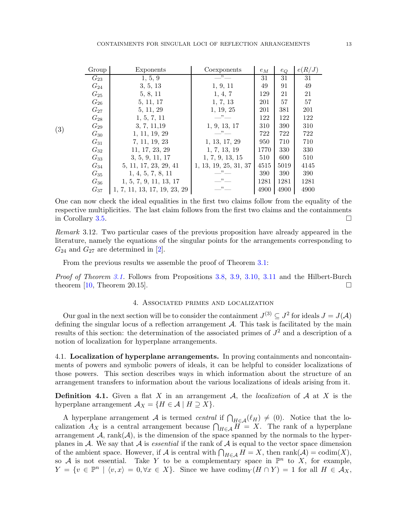| Group    | Exponents                    | Coexponents           | $e_M$ | $e_Q$ | e(R/J) |
|----------|------------------------------|-----------------------|-------|-------|--------|
| $G_{23}$ | 1, 5, 9                      | $\cdot$               | 31    | 31    | 31     |
| $G_{24}$ | 3, 5, 13                     | 1, 9, 11              | 49    | 91    | 49     |
| $G_{25}$ | 5, 8, 11                     | 1, 4, 7               | 129   | 21    | 21     |
| $G_{26}$ | 5, 11, 17                    | 1, 7, 13              | 201   | 57    | 57     |
| $G_{27}$ | 5, 11, 29                    | 1, 19, 25             | 201   | 381   | 201    |
| $G_{28}$ | 1, 5, 7, 11                  | $\cdot$               | 122   | 122   | 122    |
| $G_{29}$ | 3, 7, 11, 19                 | 1, 9, 13, 17          | 310   | 390   | 310    |
| $G_{30}$ | 1, 11, 19, 29                | $-$ " $-$             | 722   | 722   | 722    |
| $G_{31}$ | 7, 11, 19, 23                | 1, 13, 17, 29         | 950   | 710   | 710    |
| $G_{32}$ | 11, 17, 23, 29               | 1, 7, 13, 19          | 1770  | 330   | 330    |
| $G_{33}$ | 3, 5, 9, 11, 17              | 1, 7, 9, 13, 15       | 510   | 600   | 510    |
| $G_{34}$ | 5, 11, 17, 23, 29, 41        | 1, 13, 19, 25, 31, 37 | 4515  | 5019  | 4145   |
| $G_{35}$ | 1, 4, 5, 7, 8, 11            | $\cdots$              | 390   | 390   | 390    |
| $G_{36}$ | 1, 5, 7, 9, 11, 13, 17       | 22                    | 1281  | 1281  | 1281   |
| $G_{37}$ | 1, 7, 11, 13, 17, 19, 23, 29 | "                     | 4900  | 4900  | 4900   |

One can now check the ideal equalities in the first two claims follow from the equality of the respective multiplicities. The last claim follows from the first two claims and the containments in Corollary [3.5.](#page-6-0)

Remark 3.12. Two particular cases of the previous proposition have already appeared in the literature, namely the equations of the singular points for the arrangements corresponding to  $G_{24}$  and  $G_{27}$  are determined in [\[2\]](#page-25-0).

From the previous results we assemble the proof of Theorem [3.1:](#page-4-1)

<span id="page-12-1"></span>(3)

<span id="page-12-0"></span>*Proof of Theorem [3.1.](#page-4-1)* Follows from Propositions [3.8,](#page-7-0) [3.9,](#page-9-0) [3.10,](#page-10-0) [3.11](#page-11-0) and the Hilbert-Burch theorem  $[10,$  Theorem 20.15].

# 4. Associated primes and localization

Our goal in the next section will be to consider the containment  $J^{(3)} \subseteq J^2$  for ideals  $J = J(A)$ defining the singular locus of a reflection arrangement  $A$ . This task is facilitated by the main results of this section: the determination of the associated primes of  $J^2$  and a description of a notion of localization for hyperplane arrangements.

4.1. Localization of hyperplane arrangements. In proving containments and noncontainments of powers and symbolic powers of ideals, it can be helpful to consider localizations of those powers. This section describes ways in which information about the structure of an arrangement transfers to information about the various localizations of ideals arising from it.

**Definition 4.1.** Given a flat X in an arrangement A, the *localization* of A at X is the hyperplane arrangement  $\mathcal{A}_X = \{H \in \mathcal{A} \mid H \supseteq X\}.$ 

A hyperplane arrangement A is termed central if  $\bigcap_{H\in\mathcal{A}}(\ell_H)\neq(0)$ . Notice that the localization  $A_X$  is a central arrangement because  $\bigcap_{H \in \mathcal{A}} H = X$ . The rank of a hyperplane arrangement  $A$ , rank $(A)$ , is the dimension of the space spanned by the normals to the hyperplanes in A. We say that A is *essential* if the rank of A is equal to the vector space dimension of the ambient space. However, if  $\mathcal A$  is central with  $\bigcap_{H\in\mathcal A}H=X$ , then  $\text{rank}(\mathcal A)=\text{codim}(X)$ , so A is not essential. Take Y to be a complementary space in  $\mathbb{P}^n$  to X, for example,  $Y = \{v \in \mathbb{P}^n \mid \langle v, x \rangle = 0, \forall x \in X\}.$  Since we have  $\operatorname{codim}_Y (H \cap Y) = 1$  for all  $H \in \mathcal{A}_X$ ,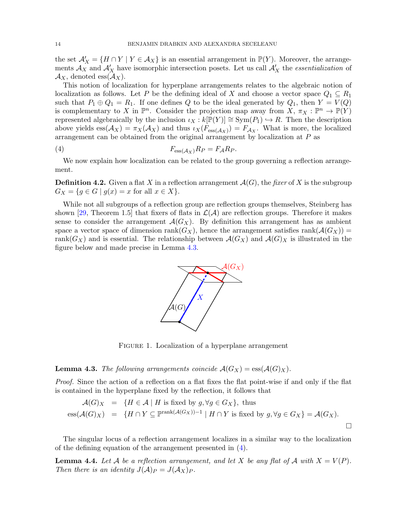the set  $\mathcal{A}'_X = \{H \cap Y \mid Y \in \mathcal{A}_X\}$  is an essential arrangement in  $\mathbb{P}(Y)$ . Moreover, the arrangements  $\mathcal{A}_X$  and  $\mathcal{A}'_X$  have isomorphic intersection posets. Let us call  $\mathcal{A}'_X$  the *essentialization* of  $\mathcal{A}_X$ , denoted ess $(\mathcal{A}_X)$ .

This notion of localization for hyperplane arrangements relates to the algebraic notion of localization as follows. Let P be the defining ideal of X and choose a vector space  $Q_1 \subseteq R_1$ such that  $P_1 \oplus Q_1 = R_1$ . If one defines Q to be the ideal generated by  $Q_1$ , then  $Y = V(Q)$ is complementary to X in  $\mathbb{P}^n$ . Consider the projection map away from  $X, \pi_X : \mathbb{P}^n \to \mathbb{P}(Y)$ represented algebraically by the inclusion  $\iota_X : k[\mathbb{P}(Y)] \cong \text{Sym}(P_1) \hookrightarrow R$ . Then the description above yields  $ess(A_X) = \pi_X(A_X)$  and thus  $\iota_X(F_{ess(A_X)}) = F_{A_X}$ . What is more, the localized arrangement can be obtained from the original arrangement by localization at P as

<span id="page-13-1"></span>
$$
(4) \tF_{\text{ess}(\mathcal{A}_X)} R_P = F_{\mathcal{A}} R_P.
$$

We now explain how localization can be related to the group governing a reflection arrangement.

**Definition 4.2.** Given a flat X in a reflection arrangement  $\mathcal{A}(G)$ , the fixer of X is the subgroup  $G_X = \{ g \in G \mid g(x) = x \text{ for all } x \in X \}.$ 

While not all subgroups of a reflection group are reflection groups themselves, Steinberg has shown [\[29,](#page-26-4) Theorem 1.5] that fixers of flats in  $\mathcal{L}(\mathcal{A})$  are reflection groups. Therefore it makes sense to consider the arrangement  $\mathcal{A}(G_X)$ . By definition this arrangement has as ambient space a vector space of dimension rank $(G_X)$ , hence the arrangement satisfies rank $(A(G_X))$  = rank( $G_X$ ) and is essential. The relationship between  $\mathcal{A}(G_X)$  and  $\mathcal{A}(G)_X$  is illustrated in the figure below and made precise in Lemma [4.3.](#page-13-0)



FIGURE 1. Localization of a hyperplane arrangement

<span id="page-13-0"></span>**Lemma 4.3.** The following arrangements coincide  $\mathcal{A}(G_X) = \text{ess}(\mathcal{A}(G_X))$ .

Proof. Since the action of a reflection on a flat fixes the flat point-wise if and only if the flat is contained in the hyperplane fixed by the reflection, it follows that

$$
\mathcal{A}(G)_X = \{ H \in \mathcal{A} \mid H \text{ is fixed by } g, \forall g \in G_X \}, \text{ thus}
$$
  

$$
\text{ess}(\mathcal{A}(G)_X) = \{ H \cap Y \subseteq \mathbb{P}^{\text{rank}(\mathcal{A}(G_X)) - 1} \mid H \cap Y \text{ is fixed by } g, \forall g \in G_X \} = \mathcal{A}(G_X).
$$

The singular locus of a reflection arrangement localizes in a similar way to the localization of the defining equation of the arrangement presented in [\(4\)](#page-13-1).

<span id="page-13-2"></span>**Lemma 4.4.** Let A be a reflection arrangement, and let X be any flat of A with  $X = V(P)$ . Then there is an identity  $J(A)_P = J(A_X)_P$ .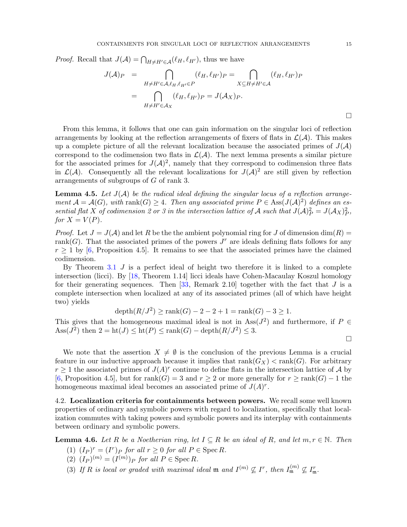*Proof.* Recall that  $J(\mathcal{A}) = \bigcap_{H \neq H' \in \mathcal{A}} (\ell_H, \ell_{H'})$ , thus we have

$$
J(\mathcal{A})_P = \bigcap_{H \neq H' \in \mathcal{A}, \ell_H, \ell_{H'} \in P} (\ell_H, \ell_{H'})_P = \bigcap_{X \subseteq H \neq H' \in \mathcal{A}} (\ell_H, \ell_{H'})_P
$$
  
= 
$$
\bigcap_{H \neq H' \in \mathcal{A}_X} (\ell_H, \ell_{H'})_P = J(\mathcal{A}_X)_P.
$$

From this lemma, it follows that one can gain information on the singular loci of reflection arrangements by looking at the reflection arrangements of fixers of flats in  $\mathcal{L}(\mathcal{A})$ . This makes up a complete picture of all the relevant localization because the associated primes of  $J(\mathcal{A})$ correspond to the codimension two flats in  $\mathcal{L}(\mathcal{A})$ . The next lemma presents a similar picture for the associated primes for  $J(\mathcal{A})^2$ , namely that they correspond to codimension three flats in  $\mathcal{L}(\mathcal{A})$ . Consequently all the relevant localizations for  $J(\mathcal{A})^2$  are still given by reflection arrangements of subgroups of G of rank 3.

<span id="page-14-1"></span>**Lemma 4.5.** Let  $J(A)$  be the radical ideal defining the singular locus of a reflection arrangement  $\mathcal{A} = \mathcal{A}(G)$ , with rank $(G) \geq 4$ . Then any associated prime  $P \in \text{Ass}(J(\mathcal{A})^2)$  defines an essential flat X of codimension 2 or 3 in the intersection lattice of A such that  $J(A)_P^2 = J(A_X)_P^2$ , for  $X = V(P)$ .

*Proof.* Let  $J = J(\mathcal{A})$  and let R be the the ambient polynomial ring for J of dimension  $\dim(R)$ rank $(G)$ . That the associated primes of the powers  $J<sup>r</sup>$  are ideals defining flats follows for any  $r \geq 1$  by [\[6,](#page-25-17) Proposition 4.5]. It remains to see that the associated primes have the claimed codimension.

By Theorem [3.1](#page-4-1)  $J$  is a perfect ideal of height two therefore it is linked to a complete intersection (licci). By [\[18,](#page-25-18) Theorem 1.14] licci ideals have Cohen-Macaulay Koszul homology for their generating sequences. Then  $[33,$  Remark 2.10 together with the fact that J is a complete intersection when localized at any of its associated primes (all of which have height two) yields

$$
depth(R/J^{2}) \ge rank(G) - 2 - 2 + 1 = rank(G) - 3 \ge 1.
$$

This gives that the homogeneous maximal ideal is not in  $\text{Ass}(J^2)$  and furthermore, if  $P \in$ Ass( $J^2$ ) then  $2 = ht(J) \leq ht(P) \leq rank(G) - depth(R/J^2) \leq 3$ .

We note that the assertion  $X \neq \emptyset$  is the conclusion of the previous Lemma is a crucial feature in our inductive approach because it implies that  $rank(G_X) < rank(G)$ . For arbitrary  $r \geq 1$  the associated primes of  $J(A)^r$  continue to define flats in the intersection lattice of A by [\[6,](#page-25-17) Proposition 4.5], but for rank(G) = 3 and  $r \geq 2$  or more generally for  $r \geq \text{rank}(G) - 1$  the homogeneous maximal ideal becomes an associated prime of  $J(A)^r$ .

4.2. Localization criteria for containments between powers. We recall some well known properties of ordinary and symbolic powers with regard to localization, specifically that localization commutes with taking powers and symbolic powers and its interplay with containments between ordinary and symbolic powers.

<span id="page-14-0"></span>**Lemma 4.6.** Let R be a Noetherian ring, let  $I \subseteq R$  be an ideal of R, and let  $m, r \in \mathbb{N}$ . Then

- (1)  $(I_P)^r = (I^r)_P$  for all  $r \ge 0$  for all  $P \in \text{Spec } R$ .
- (2)  $(I_P)^{(m)} = (I^{(m)})_P$  for all  $P \in \text{Spec } R$ .
- (3) If R is local or graded with maximal ideal m and  $I^{(m)} \nsubseteq I^r$ , then  $I_{\mathfrak{m}}^{(m)} \nsubseteq I_{\mathfrak{m}}^r$ .

 $\Box$ 

 $\Box$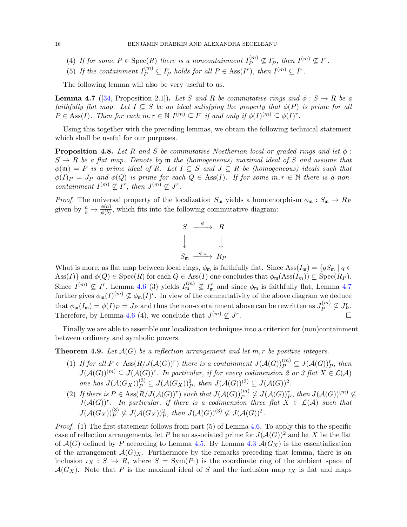- (4) If for some  $P \in \text{Spec}(R)$  there is a noncontainment  $I_P^{(m)}$  $I_P^{(m)} \nsubseteq I_P^r$ , then  $I^{(m)} \nsubseteq I^r$ .
- (5) If the containment  $I_P^{(m)} \subseteq I_P^r$  holds for all  $P \in \text{Ass}(I^r)$ , then  $I^{(m)} \subseteq I^r$ .

The following lemma will also be very useful to us.

<span id="page-15-0"></span>**Lemma 4.7** ([\[34,](#page-26-6) Proposition 2.1]). Let S and R be commutative rings and  $\phi : S \to R$  be a faithfully flat map. Let  $I \subseteq S$  be an ideal satisfying the property that  $\phi(P)$  is prime for all  $P \in \text{Ass}(I)$ . Then for each  $m, r \in \mathbb{N}$   $I^{(m)} \subseteq I^r$  if and only if  $\phi(I)^{(m)} \subseteq \phi(I)^r$ .

Using this together with the preceding lemmas, we obtain the following technical statement which shall be useful for our purposes.

**Proposition 4.8.** Let R and S be commutative Noetherian local or graded rings and let  $\phi$ :  $S \to R$  be a flat map. Denote by  $\mathfrak m$  the (homogeneous) maximal ideal of S and assume that  $\phi(\mathfrak{m}) = P$  is a prime ideal of R. Let  $I \subseteq S$  and  $J \subseteq R$  be (homogeneous) ideals such that  $\phi(I)_P = J_P$  and  $\phi(Q)$  is prime for each  $Q \in \text{Ass}(I)$ . If for some  $m, r \in \mathbb{N}$  there is a noncontainment  $I^{(m)} \nsubseteq I^r$ , then  $J^{(m)} \nsubseteq J^r$ .

*Proof.* The universal property of the localization  $S_m$  yields a homomorphism  $\phi_m : S_m \to R_P$ given by  $\frac{a}{b} \mapsto \frac{\phi(a)}{\phi(b)}$ , which fits into the following commutative diagram:

$$
S \xrightarrow{\phi} R
$$
  

$$
\downarrow \qquad \qquad \downarrow
$$
  

$$
S_{\mathfrak{m}} \xrightarrow{\phi_{\mathfrak{m}}} R_P
$$

What is more, as flat map between local rings,  $\phi_m$  is faithfully flat. Since Ass $(I_m) = \{qS_m | q \in$ Ass(I)} and  $\phi(Q) \in \text{Spec}(R)$  for each  $Q \in \text{Ass}(I)$  one concludes that  $\phi_{\mathfrak{m}}(\text{Ass}(I_m)) \subseteq \text{Spec}(R_P)$ . Since  $I^{(m)} \nsubseteq I^r$ , Lemma [4.6](#page-14-0) (3) yields  $I_{\mathfrak{m}}^{(m)} \nsubseteq I_{\mathfrak{m}}^r$  and since  $\phi_{\mathfrak{m}}$  is faithfully flat, Lemma [4.7](#page-15-0) further gives  $\phi_{\mathfrak{m}}(I)^{(m)} \nsubseteq \phi_{\mathfrak{m}}(I)^r$ . In view of the commutativity of the above diagram we deduce that  $\phi_{\mathfrak{m}}(I_{\mathfrak{m}})=\phi(I)P=J_P$  and thus the non-containment above can be rewritten as  $J_P^{(m)}$  $I_P^{(m)} \nsubseteq J_P^r$ . Therefore, by Lemma [4.6](#page-14-0) (4), we conclude that  $J^{(m)} \nsubseteq J^r$ .

Finally we are able to assemble our localization techniques into a criterion for (non)containment between ordinary and symbolic powers.

<span id="page-15-1"></span>**Theorem 4.9.** Let  $\mathcal{A}(G)$  be a reflection arrangement and let m, r be positive integers.

- (1) If for all  $P \in \text{Ass}(R/J(\mathcal{A}(G))^r)$  there is a containment  $J(\mathcal{A}(G))_P^{(m)} \subseteq J(\mathcal{A}(G))^r$ , then  $J(A(G))^{(m)} \subseteq J(A(G))^r$ . In particular, if for every codimension 2 or 3 flat  $X \in \mathcal{L(A)}$ one has  $J(A(G_X))_P^{(3)} \subseteq J(A(G_X))^2$ , then  $J(A(G))^{(3)} \subseteq J(A(G))^2$ . P
- (2) If there is  $P \in \text{Ass}(R/J(\mathcal{A}(G))^r)$  such that  $J(\mathcal{A}(G))^{(m)}_P \nsubseteq J(\mathcal{A}(G))^r_P$ , then  $J(\mathcal{A}(G))^{(m)} \nsubseteq$  $J(A(G))^r$ . In particular, if there is a codimension three flat  $X \in \mathcal{L}(\mathcal{A})$  such that  $J(\mathcal{A}(G_X))_P^{(3)} \nsubseteq J(\mathcal{A}(G_X))^2_P$ , then  $J(\mathcal{A}(G))^{(3)} \nsubseteq J(\mathcal{A}(G))^2$ .

*Proof.* (1) The first statement follows from part (5) of Lemma [4.6.](#page-14-0) To apply this to the specific case of reflection arrangements, let P be an associated prime for  $J(\mathcal{A}(G))^2$  and let X be the flat of  $\mathcal{A}(G)$  defined by P according to Lemma [4.5.](#page-14-1) By Lemma [4.3](#page-13-0)  $\mathcal{A}(G_X)$  is the essentialization of the arrangement  $\mathcal{A}(G)_X$ . Furthermore by the remarks preceding that lemma, there is an inclusion  $\iota_X : S \hookrightarrow R$ , where  $S = \text{Sym}(P_1)$  is the coordinate ring of the ambient space of  $\mathcal{A}(G_X)$ . Note that P is the maximal ideal of S and the inclusion map  $\iota_X$  is flat and maps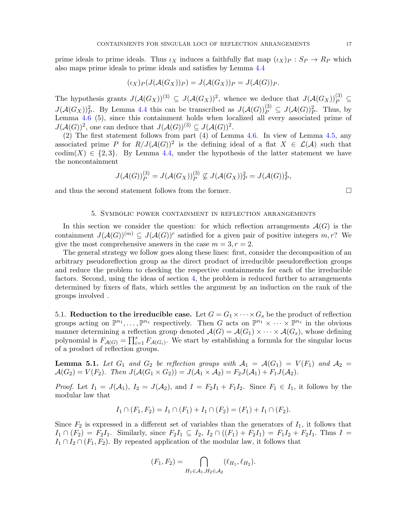prime ideals to prime ideals. Thus  $\iota_X$  induces a faithfully flat map  $(\iota_X)_P : S_P \to R_P$  which also maps prime ideals to prime ideals and satisfies by Lemma [4.4](#page-13-2)

$$
(\iota_X)_P(J(\mathcal{A}(G_X))_P) = J(\mathcal{A}(G_X))_P = J(\mathcal{A}(G))_P.
$$

The hypothesis grants  $J(\mathcal{A}(G_X))^{(3)} \subseteq J(\mathcal{A}(G_X))^2$ , whence we deduce that  $J(\mathcal{A}(G_X))^{(3)}_P \subseteq$  $J(\mathcal{A}(G_X))^2_P$ . By Lemma [4.4](#page-13-2) this can be transcribed as  $J(\mathcal{A}(G))^{(3)}_P \subseteq J(\mathcal{A}(G))^2_P$ . Thus, by Lemma [4.6](#page-14-0) (5), since this containment holds when localized all every associated prime of  $J(\mathcal{A}(G))^2$ , one can deduce that  $J(\mathcal{A}(G))^{(3)} \subseteq J(\mathcal{A}(G))^2$ .

(2) The first statement follows from part (4) of Lemma [4.6.](#page-14-0) In view of Lemma [4.5,](#page-14-1) any associated prime P for  $R/J(\mathcal{A}(G))^2$  is the defining ideal of a flat  $X \in \mathcal{L}(\mathcal{A})$  such that codim(X)  $\in \{2,3\}$ . By Lemma [4.4,](#page-13-2) under the hypothesis of the latter statement we have the noncontainment

$$
J(\mathcal{A}(G))_P^{(3)} = J(\mathcal{A}(G_X))_P^{(3)} \nsubseteq J(\mathcal{A}(G_X))^2_P = J(\mathcal{A}(G))^2_P,
$$

<span id="page-16-0"></span>and thus the second statement follows from the former.  $\Box$ 

#### 5. Symbolic power containment in reflection arrangements

In this section we consider the question: for which reflection arrangements  $\mathcal{A}(G)$  is the containment  $J(\mathcal{A}(G))^{(m)} \subseteq J(\mathcal{A}(G))^r$  satisfied for a given pair of positive integers  $m, r$ ? We give the most comprehensive answers in the case  $m = 3, r = 2$ .

The general strategy we follow goes along these lines: first, consider the decomposition of an arbitrary pseudoreflection group as the direct product of irreducible pseudoreflection groups and reduce the problem to checking the respective containments for each of the irreducible factors. Second, using the ideas of section [4,](#page-12-0) the problem is reduced further to arrangements determined by fixers of flats, which settles the argument by an induction on the rank of the groups involved .

5.1. Reduction to the irreducible case. Let  $G = G_1 \times \cdots \times G_s$  be the product of reflection groups acting on  $\mathbb{P}^{n_1}, \ldots, \mathbb{P}^{n_s}$  respectively. Then G acts on  $\mathbb{P}^{n_1} \times \cdots \times \mathbb{P}^{n_s}$  in the obvious manner determining a reflection group denoted  $\mathcal{A}(G) = \mathcal{A}(G_1) \times \cdots \times \mathcal{A}(G_s)$ , whose defining polynomial is  $F_{\mathcal{A}(G)} = \prod_{i=1}^s F_{\mathcal{A}(G_i)}$ . We start by establishing a formula for the singular locus of a product of reflection groups.

<span id="page-16-1"></span>**Lemma 5.1.** Let  $G_1$  and  $G_2$  be reflection groups with  $A_1 = \mathcal{A}(G_1) = V(F_1)$  and  $A_2 =$  $\mathcal{A}(G_2) = V(F_2)$ . Then  $J(\mathcal{A}(G_1 \times G_2)) = J(\mathcal{A}_1 \times \mathcal{A}_2) = F_2J(\mathcal{A}_1) + F_1J(\mathcal{A}_2)$ .

*Proof.* Let  $I_1 = J(A_1)$ ,  $I_2 = J(A_2)$ , and  $I = F_2I_1 + F_1I_2$ . Since  $F_1 \in I_1$ , it follows by the modular law that

$$
I_1 \cap (F_1, F_2) = I_1 \cap (F_1) + I_1 \cap (F_2) = (F_1) + I_1 \cap (F_2).
$$

Since  $F_2$  is expressed in a different set of variables than the generators of  $I_1$ , it follows that  $I_1 \cap (F_2) = F_2I_1$ . Similarly, since  $F_2I_1 \subseteq I_2$ ,  $I_2 \cap ((F_1) + F_2I_1) = F_1I_2 + F_2I_1$ . Thus  $I =$  $I_1 \cap I_2 \cap (F_1, F_2)$ . By repeated application of the modular law, it follows that

$$
(F_1, F_2) = \bigcap_{H_1 \in \mathcal{A}_1, H_2 \in \mathcal{A}_2} (\ell_{H_1}, \ell_{H_2}).
$$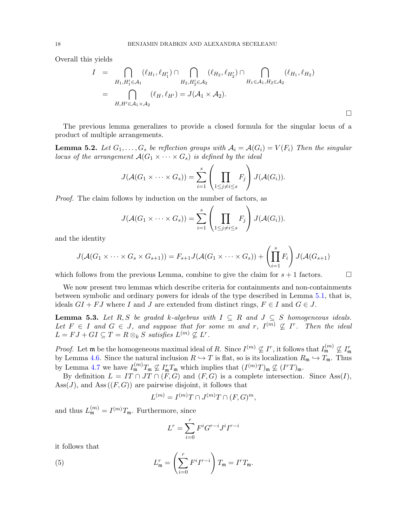Overall this yields

$$
I = \bigcap_{H_1, H'_1 \in \mathcal{A}_1} (\ell_{H_1}, \ell_{H'_1}) \cap \bigcap_{H_2, H'_2 \in \mathcal{A}_2} (\ell_{H_2}, \ell_{H'_2}) \cap \bigcap_{H_1 \in \mathcal{A}_1, H_2 \in \mathcal{A}_2} (\ell_{H_1}, \ell_{H_2})
$$
  
= 
$$
\bigcap_{H, H' \in \mathcal{A}_1 \times \mathcal{A}_2} (\ell_H, \ell_{H'}) = J(\mathcal{A}_1 \times \mathcal{A}_2).
$$

The previous lemma generalizes to provide a closed formula for the singular locus of a product of multiple arrangements.

<span id="page-17-0"></span>**Lemma 5.2.** Let  $G_1, \ldots, G_s$  be reflection groups with  $A_i = A(G_i) = V(F_i)$  Then the singular locus of the arrangement  $\mathcal{A}(G_1 \times \cdots \times G_s)$  is defined by the ideal

$$
J(\mathcal{A}(G_1 \times \cdots \times G_s)) = \sum_{i=1}^s \left( \prod_{1 \leq j \neq i \leq s} F_j \right) J(\mathcal{A}(G_i)).
$$

Proof. The claim follows by induction on the number of factors, as

$$
J(\mathcal{A}(G_1 \times \cdots \times G_s)) = \sum_{i=1}^s \left( \prod_{1 \leq j \neq i \leq s} F_j \right) J(\mathcal{A}(G_i)).
$$

and the identity

$$
J(\mathcal{A}(G_1 \times \cdots \times G_s \times G_{s+1})) = F_{s+1}J(\mathcal{A}(G_1 \times \cdots \times G_s)) + \left(\prod_{i=1}^s F_i\right)J(\mathcal{A}(G_{s+1}))
$$

which follows from the previous Lemma, combine to give the claim for  $s + 1$  factors.

We now present two lemmas which describe criteria for containments and non-containments between symbolic and ordinary powers for ideals of the type described in Lemma [5.1,](#page-16-1) that is, ideals  $GI + FJ$  where I and J are extended from distinct rings,  $F \in I$  and  $G \in J$ .

<span id="page-17-1"></span>**Lemma 5.3.** Let R, S be graded k-algebras with  $I \subseteq R$  and  $J \subseteq S$  homogeneous ideals. Let  $F \in I$  and  $G \in J$ , and suppose that for some m and r,  $I^{(m)} \nsubseteq I^r$ . Then the ideal  $L = FJ + GI \subseteq T = R \otimes_k S$  satisfies  $L^{(m)} \nsubseteq L^r$ .

*Proof.* Let  $\mathfrak{m}$  be the homogeneous maximal ideal of R. Since  $I^{(m)} \nsubseteq I^r$ , it follows that  $I^{(m)}_{\mathfrak{m}} \nsubseteq I^r_{\mathfrak{m}}$ by Lemma [4.6.](#page-14-0) Since the natural inclusion  $R \hookrightarrow T$  is flat, so is its localization  $R_{\mathfrak{m}} \hookrightarrow T_{\mathfrak{m}}$ . Thus by Lemma [4.7](#page-15-0) we have  $I_{\mathfrak{m}}^{(m)}T_{\mathfrak{m}} \nsubseteq I_{\mathfrak{m}}^rT_{\mathfrak{m}}$  which implies that  $(I^{(m)}T)_{\mathfrak{m}} \nsubseteq (I^rT)_{\mathfrak{m}}$ .

By definition  $L = IT \cap JT \cap (F, G)$  and  $(F, G)$  is a complete intersection. Since Ass $(I)$ ,  $\text{Ass}(J)$ , and  $\text{Ass}((F, G))$  are pairwise disjoint, it follows that

$$
L^{(m)} = I^{(m)}T \cap J^{(m)}T \cap (F, G)^m,
$$

and thus  $L_{\mathfrak{m}}^{(m)} = I^{(m)}T_{\mathfrak{m}}$ . Furthermore, since

$$
L^r=\sum_{i=0}^r F^iG^{r-i}J^iI^{r-i}
$$

it follows that

(5) 
$$
L_{\mathfrak{m}}^r = \left(\sum_{i=0}^r F^i I^{r-i}\right) T_{\mathfrak{m}} = I^r T_{\mathfrak{m}}.
$$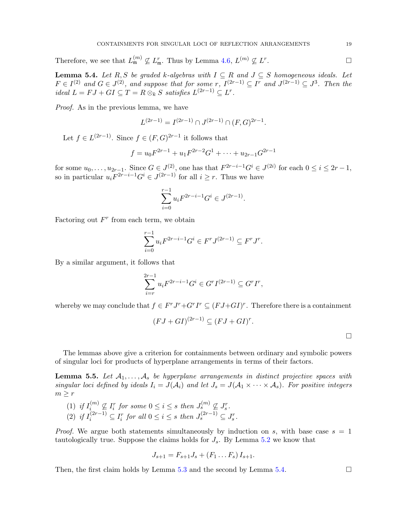Therefore, we see that  $L_{\mathfrak{m}}^{(m)} \nsubseteq L_{\mathfrak{m}}^r$ . Thus by Lemma [4.6,](#page-14-0)  $L^{(m)} \nsubseteq L^r$ . — Первый процесс в постановки программа в серверном становки производительно становки производите с производ<br>В серверном становки производительно становки производительно становки производительно становки производительн

<span id="page-18-0"></span>**Lemma 5.4.** Let R, S be graded k-algebras with  $I \subseteq R$  and  $J \subseteq S$  homogeneous ideals. Let  $F \in I^{(2)}$  and  $G \in J^{(2)}$ , and suppose that for some r,  $I^{(2r-1)} \subseteq I^r$  and  $J^{(2r-1)} \subseteq J^3$ . Then the ideal  $L = FJ + GI \subseteq T = R \otimes_k S$  satisfies  $L^{(2r-1)} \subseteq L^r$ .

Proof. As in the previous lemma, we have

$$
L^{(2r-1)} = I^{(2r-1)} \cap J^{(2r-1)} \cap (F, G)^{2r-1}.
$$

Let  $f \in L^{(2r-1)}$ . Since  $f \in (F, G)^{2r-1}$  it follows that

$$
f = u_0 F^{2r-1} + u_1 F^{2r-2} G^1 + \dots + u_{2r-1} G^{2r-1}
$$

for some  $u_0, \ldots, u_{2r-1}$ . Since  $G \in J^{(2)}$ , one has that  $F^{2r-i-1}G^i \in J^{(2i)}$  for each  $0 \le i \le 2r-1$ , so in particular  $u_i F^{2r-i-1} G^i \in J^{(2r-1)}$  for all  $i \geq r$ . Thus we have

$$
\sum_{i=0}^{r-1} u_i F^{2r-i-1} G^i \in J^{(2r-1)}.
$$

Factoring out  $F^r$  from each term, we obtain

$$
\sum_{i=0}^{r-1} u_i F^{2r-i-1} G^i \in F^r J^{(2r-1)} \subseteq F^r J^r.
$$

By a similar argument, it follows that

$$
\sum_{i=r}^{2r-1} u_i F^{2r-i-1} G^i \in G^r I^{(2r-1)} \subseteq G^r I^r,
$$

whereby we may conclude that  $f \in F^r J^r + G^r I^r \subseteq (FJ + GI)^r$ . Therefore there is a containment

$$
(FJ+GI)^{(2r-1)} \subseteq (FJ+GI)^r.
$$

 $\Box$ 

The lemmas above give a criterion for containments between ordinary and symbolic powers of singular loci for products of hyperplane arrangements in terms of their factors.

<span id="page-18-1"></span>**Lemma 5.5.** Let  $A_1, \ldots, A_s$  be hyperplane arrangements in distinct projective spaces with singular loci defined by ideals  $I_i = J(\mathcal{A}_i)$  and let  $J_s = J(\mathcal{A}_1 \times \cdots \times \mathcal{A}_s)$ . For positive integers  $m \geq r$ 

- (1) if  $I_i^{(m)}$  $\mathcal{L}_i^{(m)} \nsubseteq I_i^r$  for some  $0 \leq i \leq s$  then  $J_s^{(m)} \nsubseteq J_s^r$ .
- (2) if  $I_i^{(2r-1)} \subseteq I_i^r$  for all  $0 \leq i \leq s$  then  $J_s^{(2r-1)} \subseteq J_s^r$ .

*Proof.* We argue both statements simultaneously by induction on s, with base case  $s = 1$ tautologically true. Suppose the claims holds for  $J_s$ . By Lemma [5.2](#page-17-0) we know that

$$
J_{s+1} = F_{s+1}J_s + (F_1 \ldots F_s) I_{s+1}.
$$

Then, the first claim holds by Lemma [5.3](#page-17-1) and the second by Lemma [5.4.](#page-18-0)  $\Box$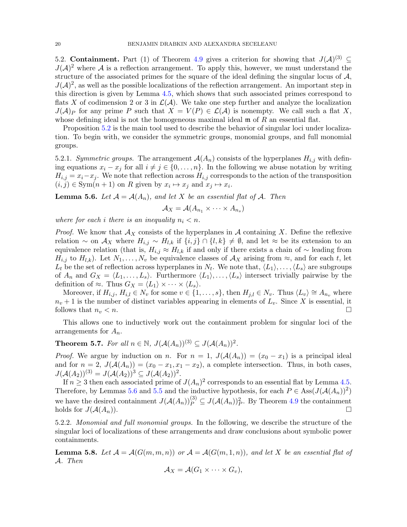5.2. Containment. Part (1) of Theorem [4.9](#page-15-1) gives a criterion for showing that  $J(A)^{(3)} \subseteq$  $J(\mathcal{A})^2$  where  $\mathcal A$  is a reflection arrangement. To apply this, however, we must understand the structure of the associated primes for the square of the ideal defining the singular locus of  $A$ ,  $J(\mathcal{A})^2$ , as well as the possible localizations of the reflection arrangement. An important step in this direction is given by Lemma [4.5,](#page-14-1) which shows that such associated primes correspond to flats X of codimension 2 or 3 in  $\mathcal{L}(\mathcal{A})$ . We take one step further and analyze the localization  $J(\mathcal{A})_P$  for any prime P such that  $X = V(P) \in \mathcal{L}(\mathcal{A})$  is nonempty. We call such a flat X, whose defining ideal is not the homogeneous maximal ideal  $\mathfrak m$  of  $R$  an essential flat.

Proposition [5.2](#page-17-0) is the main tool used to describe the behavior of singular loci under localization. To begin with, we consider the symmetric groups, monomial groups, and full monomial groups.

5.2.1. Symmetric groups. The arrangement  $\mathcal{A}(A_n)$  consists of the hyperplanes  $H_{i,j}$  with defining equations  $x_i - x_j$  for all  $i \neq j \in \{0, \ldots, n\}$ . In the following we abuse notation by writing  $H_{i,j} = x_i - x_j$ . We note that reflection across  $H_{i,j}$  corresponds to the action of the transposition  $(i, j) \in \text{Sym}(n + 1)$  on R given by  $x_i \mapsto x_j$  and  $x_j \mapsto x_i$ .

<span id="page-19-0"></span>**Lemma 5.6.** Let  $\mathcal{A} = \mathcal{A}(A_n)$ , and let X be an essential flat of  $\mathcal{A}$ . Then

$$
A_X = \mathcal{A}(A_{n_1} \times \cdots \times A_{n_s})
$$

where for each i there is an inequality  $n_i < n$ .

*Proof.* We know that  $\mathcal{A}_X$  consists of the hyperplanes in  $\mathcal A$  containing X. Define the reflexive relation ∼ on  $\mathcal{A}_X$  where  $H_{i,j} \sim H_{l,k}$  if  $\{i,j\} \cap \{l,k\} \neq \emptyset$ , and let ≈ be its extension to an equivalence relation (that is,  $H_{i,j} \approx H_{l,k}$  if and only if there exists a chain of  $\sim$  leading from  $H_{i,j}$  to  $H_{l,k}$ ). Let  $N_1, \ldots, N_v$  be equivalence classes of  $\mathcal{A}_X$  arising from  $\approx$ , and for each t, let  $L_t$  be the set of reflection across hyperplanes in  $N_t$ . We note that,  $\langle L_1 \rangle, \ldots, \langle L_s \rangle$  are subgroups of  $A_n$  and  $G_X = \langle L_1, \ldots, L_s \rangle$ . Furthermore  $\langle L_1 \rangle, \ldots, \langle L_s \rangle$  intersect trivially pairwise by the definition of  $\approx$ . Thus  $G_X = \langle L_1 \rangle \times \cdots \times \langle L_s \rangle$ .

Moreover, if  $H_{i,j}$ ,  $H_{i,l} \in N_v$  for some  $v \in \{1, \ldots, s\}$ , then  $H_{j,l} \in N_v$ . Thus  $\langle L_v \rangle \cong A_{n_v}$  where  $n_v + 1$  is the number of distinct variables appearing in elements of  $L_v$ . Since X is essential, it follows that  $n_v < n$ .

This allows one to inductively work out the containment problem for singular loci of the arrangements for  $A_n$ .

<span id="page-19-2"></span>**Theorem 5.7.** For all  $n \in \mathbb{N}$ ,  $J(A(A_n))^{(3)} \subseteq J(A(A_n))^2$ .

*Proof.* We argue by induction on n. For  $n = 1$ ,  $J(A(A_n)) = (x_0 - x_1)$  is a principal ideal and for  $n = 2$ ,  $J(A(A_n)) = (x_0 - x_1, x_1 - x_2)$ , a complete intersection. Thus, in both cases,  $J(A(A_2))^{(3)} = J(A(A_2))^3 \subseteq J(A(A_2))^2$ .

If  $n \geq 3$  then each associated prime of  $J(A_n)^2$  corresponds to an essential flat by Lemma [4.5.](#page-14-1) Therefore, by Lemmas [5.6](#page-19-0) and [5.5](#page-18-1) and the inductive hypothesis, for each  $P \in \text{Ass}(J(\mathcal{A}(A_n))^2)$ we have the desired containment  $J(A(A_n))_P^{(3)} \subseteq J(A(A_n))^2_P$ . By Theorem [4.9](#page-15-1) the containment holds for  $J(A(A_n))$ .

5.2.2. Monomial and full monomial groups. In the following, we describe the structure of the singular loci of localizations of these arrangements and draw conclusions about symbolic power containments.

<span id="page-19-1"></span>**Lemma 5.8.** Let  $\mathcal{A} = \mathcal{A}(G(m, m, n))$  or  $\mathcal{A} = \mathcal{A}(G(m, 1, n))$ , and let X be an essential flat of A. Then

$$
A_X = \mathcal{A}(G_1 \times \cdots \times G_v),
$$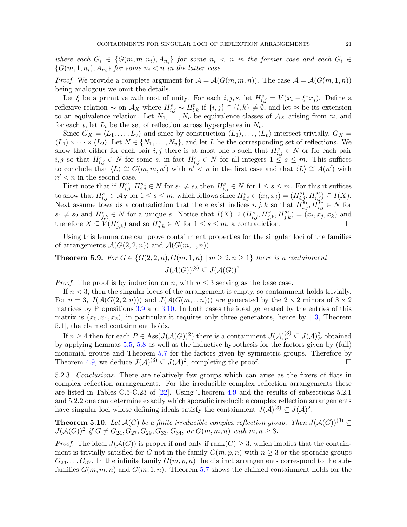where each  $G_i \in \{G(m, m, n_i), A_{n_i}\}\$  for some  $n_i < n$  in the former case and each  $G_i \in$  ${G(m,1,n_i), A_{n_i}}$  for some  $n_i < n$  in the latter case

*Proof.* We provide a complete argument for  $A = \mathcal{A}(G(m, m, n))$ . The case  $\mathcal{A} = \mathcal{A}(G(m, 1, n))$ being analogous we omit the details.

Let  $\xi$  be a primitive mth root of unity. For each  $i, j, s$ , let  $H_{i,j}^s = V(x_i - \xi^s x_j)$ . Define a reflexive relation  $\sim$  on  $\mathcal{A}_X$  where  $H_{i,j}^s \sim H_{l,k}^t$  if  $\{i,j\} \cap \{l,k\} \neq \emptyset$ , and let  $\approx$  be its extension to an equivalence relation. Let  $N_1, \ldots, N_v$  be equivalence classes of  $\mathcal{A}_X$  arising from  $\approx$ , and for each t, let  $L_t$  be the set of reflection across hyperplanes in  $N_t$ .

Since  $G_X = \langle L_1, \ldots, L_v \rangle$  and since by construction  $\langle L_1 \rangle, \ldots, \langle L_v \rangle$  intersect trivially,  $G_X =$  $\langle L_1 \rangle \times \cdots \times \langle L_2 \rangle$ . Let  $N \in \{N_1, \ldots, N_v\}$ , and let L be the corresponding set of reflections. We show that either for each pair  $i, j$  there is at most one s such that  $H_{i,j}^s \in N$  or for each pair  $i, j$  so that  $H_{i,j}^s \in N$  for some s, in fact  $H_{i,j}^s \in N$  for all integers  $1 \leq s \leq m$ . This suffices to conclude that  $\langle L \rangle \cong G(m, m, n')$  with  $n' < n$  in the first case and that  $\langle L \rangle \cong A(n')$  with  $n' < n$  in the second case.

First note that if  $H_{i,j}^{s_1}, H_{i,j}^{s_2} \in N$  for  $s_1 \neq s_2$  then  $H_{i,j}^s \in N$  for  $1 \leq s \leq m$ . For this it suffices to show that  $H_{i,j}^s \in \mathcal{A}_X$  for  $1 \leq s \leq m$ , which follows since  $H_{i,j}^s \in (x_i, x_j) = (H_{i,j}^{s_1}, H_{i,j}^{s_2}) \subseteq I(X)$ . Next assume towards a contradiction that there exist indices  $i, j, k$  so that  $\vec{H}_{i,j}^{s_1}, \vec{H}_{i,j}^{s_2} \in N$  for  $s_1 \neq s_2$  and  $H_{j,k}^s \in N$  for a unique s. Notice that  $I(X) \supseteq (H_{i,j}^s, H_{j,k}^{s_1}, H_{j,k}^{s_2}) = (x_i, x_j, x_k)$  and therefore  $X \subseteq V(H_{j,k}^s)$  and so  $H_{j,k}^s \in N$  for  $1 \leq s \leq m$ , a contradiction.

Using this lemma one can prove containment properties for the singular loci of the families of arrangements  $\mathcal{A}(G(2, 2, n))$  and  $\mathcal{A}(G(m, 1, n))$ .

<span id="page-20-0"></span>**Theorem 5.9.** For  $G \in \{G(2, 2, n), G(m, 1, n) \mid m \geq 2, n \geq 1\}$  there is a containment  $J(\mathcal{A}(G))^{(3)} \subseteq J(\mathcal{A}(G))^2$ .

*Proof.* The proof is by induction on n, with  $n \leq 3$  serving as the base case.

If  $n < 3$ , then the singular locus of the arrangement is empty, so containment holds trivially. For  $n = 3$ ,  $J(A(G(2, 2, n)))$  and  $J(A(G(m, 1, n)))$  are generated by the  $2 \times 2$  minors of  $3 \times 2$ matrices by Propositions [3.9](#page-9-0) and [3.10.](#page-10-0) In both cases the ideal generated by the entries of this matrix is  $(x_0, x_1, x_2)$ , in particular it requires only three generators, hence by [\[13,](#page-25-11) Theorem 5.1], the claimed containment holds.

If  $n \geq 4$  then for each  $P \in \text{Ass}(J(\mathcal{A}(G))^2)$  there is a containment  $J(\mathcal{A})_P^{(3)} \subseteq J(\mathcal{A})_P^2$  obtained by applying Lemmas [5.5,](#page-18-1) [5.8](#page-19-1) as well as the inductive hypothesis for the factors given by (full) monomial groups and Theorem [5.7](#page-19-2) for the factors given by symmetric groups. Therefore by Theorem [4.9,](#page-15-1) we deduce  $J(A)^{(3)} \subseteq J(A)^2$ , completing the proof.

5.2.3. Conclusions. There are relatively few groups which can arise as the fixers of flats in complex reflection arrangements. For the irreducible complex reflection arrangements these are listed in Tables C.5-C.23 of [\[22\]](#page-25-10). Using Theorem [4.9](#page-15-1) and the results of subsections 5.2.1 and 5.2.2 one can determine exactly which sporadic irreducible complex reflection arrangements have singular loci whose defining ideals satisfy the containment  $J(A)^{(3)} \subseteq J(A)^2$ .

<span id="page-20-1"></span>**Theorem 5.10.** Let  $\mathcal{A}(G)$  be a finite irreducible complex reflection group. Then  $J(\mathcal{A}(G))^{(3)} \subseteq$  $J(A(G))^2$  if  $G \neq G_{24}, G_{27}, G_{29}, G_{33}, G_{34}, \text{ or } G(m, m, n)$  with  $m, n \geq 3$ .

*Proof.* The ideal  $J(A(G))$  is proper if and only if  $rank(G) \geq 3$ , which implies that the containment is trivially satisfied for G not in the family  $G(m, p, n)$  with  $n \geq 3$  or the sporadic groups  $G_{23}, \ldots G_{37}$ . In the infinite family  $G(m, p, n)$  the distinct arrangements correspond to the subfamilies  $G(m, m, n)$  and  $G(m, 1, n)$ . Theorem [5.7](#page-19-2) shows the claimed containment holds for the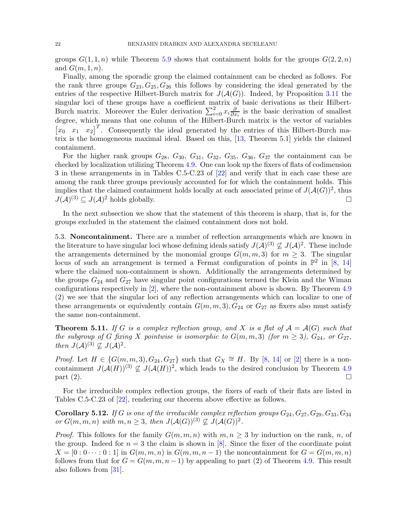groups  $G(1,1,n)$  while Theorem [5.9](#page-20-0) shows that containment holds for the groups  $G(2,2,n)$ and  $G(m, 1, n)$ .

Finally, among the sporadic group the claimed containment can be checked as follows. For the rank three groups  $G_{23}, G_{25}, G_{26}$  this follows by considering the ideal generated by the entries of the respective Hilbert-Burch matrix for  $J(A(G))$ . Indeed, by Proposition [3.11](#page-11-0) the singular loci of these groups have a coefficient matrix of basic derivations as their Hilbert-Burch matrix. Moreover the Euler derivation  $\sum_{i=0}^{2} x_i \frac{\partial}{\partial x_i}$  $\frac{\partial}{\partial x_i}$  is the basic derivation of smallest degree, which means that one column of the Hilbert-Burch matrix is the vector of variables  $[x_0 \ x_1 \ x_2]^T$ . Consequently the ideal generated by the entries of this Hilbert-Burch matrix is the homogeneous maximal ideal. Based on this, [\[13,](#page-25-11) Theorem 5.1] yields the claimed containment.

For the higher rank groups  $G_{28}$ ,  $G_{30}$ ,  $G_{31}$ ,  $G_{32}$ ,  $G_{35}$ ,  $G_{36}$ ,  $G_{37}$  the containment can be checked by localization utilizing Theorem [4.9.](#page-15-1) One can look up the fixers of flats of codimension 3 in these arrangements in in Tables C.5-C.23 of [\[22\]](#page-25-10) and verify that in each case these are among the rank three groups previously accounted for for which the containment holds. This implies that the claimed containment holds locally at each associated prime of  $J(\mathcal{A}(G))^2$ , thus  $J(A)^{(3)} \subseteq J(A)^2$  holds globally.

In the next subsection we show that the statement of this theorem is sharp, that is, for the groups excluded in the statement the claimed containment does not hold.

5.3. Noncontainment. There are a number of reflection arrangements which are known in the literature to have singular loci whose defining ideals satisfy  $J(A)^{(3)} \nsubseteq J(A)^2$ . These include the arrangements determined by the monomial groups  $G(m, m, 3)$  for  $m \geq 3$ . The singular locus of such an arrangement is termed a Fermat configuration of points in  $\mathbb{P}^2$  in [\[8,](#page-25-1) [14\]](#page-25-2) where the claimed non-containment is shown. Additionally the arrangements determined by the groups  $G_{24}$  and  $G_{27}$  have singular point configurations termed the Klein and the Wiman configurations respectively in [\[2\]](#page-25-0), where the non-containment above is shown. By Theorem [4.9](#page-15-1) (2) we see that the singular loci of any reflection arrangements which can localize to one of these arrangements or equivalently contain  $G(m, m, 3), G_{24}$  or  $G_{27}$  as fixers also must satisfy the same non-containment.

<span id="page-21-0"></span>**Theorem 5.11.** If G is a complex reflection group, and X is a flat of  $A = \mathcal{A}(G)$  such that the subgroup of G fixing X pointwise is isomorphic to  $G(m, m, 3)$  (for  $m \geq 3$ ),  $G_{24}$ , or  $G_{27}$ , then  $J(A)^{(3)} \nsubseteq J(A)^2$ .

*Proof.* Let  $H \in \{G(m, m, 3), G_{24}, G_{27}\}$  such that  $G_X \cong H$ . By [\[8,](#page-25-1) [14\]](#page-25-2) or [\[2\]](#page-25-0) there is a noncontainment  $J(A(H))^{(3)} \nsubseteq J(A(H))^{2}$ , which leads to the desired conclusion by Theorem [4.9](#page-15-1)  $\Box$  part (2).

For the irreducible complex reflection groups, the fixers of each of their flats are listed in Tables C.5-C.23 of [\[22\]](#page-25-10), rendering our theorem above effective as follows.

**Corollary 5.12.** If G is one of the irreducible complex reflection groups  $G_{24}$ ,  $G_{27}$ ,  $G_{29}$ ,  $G_{33}$ ,  $G_{34}$ or  $G(m, m, n)$  with  $m, n \geq 3$ , then  $J(\mathcal{A}(G))^{(3)} \nsubseteq J(\mathcal{A}(G))^2$ .

*Proof.* This follows for the family  $G(m, m, n)$  with  $m, n \geq 3$  by induction on the rank, n, of the group. Indeed for  $n = 3$  the claim is shown in [\[8\]](#page-25-1). Since the fixer of the coordinate point  $X = [0:0 \cdots 0:1]$  in  $G(m, m, n)$  is  $G(m, m, n-1)$  the noncontainment for  $G = G(m, m, n)$ follows from that for  $G = G(m, m, n - 1)$  by appealing to part (2) of Theorem [4.9.](#page-15-1) This result also follows from [\[31\]](#page-26-7).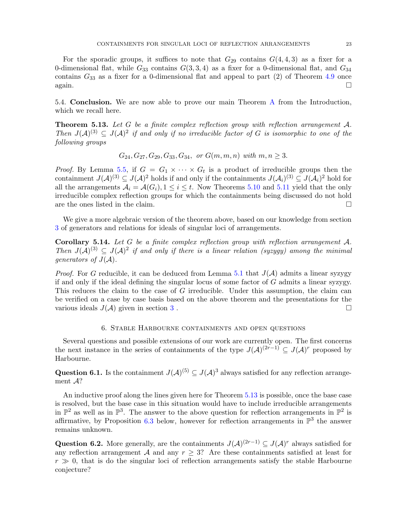For the sporadic groups, it suffices to note that  $G_{29}$  contains  $G(4, 4, 3)$  as a fixer for a 0-dimensional flat, while  $G_{33}$  contains  $G(3,3,4)$  as a fixer for a 0-dimensional flat, and  $G_{34}$ contains  $G_{33}$  as a fixer for a 0-dimensional flat and appeal to part (2) of Theorem [4.9](#page-15-1) once  $\Box$  again.

5.4. Conclusion. We are now able to prove our main Theorem [A](#page-1-1) from the Introduction, which we recall here.

<span id="page-22-0"></span>**Theorem 5.13.** Let G be a finite complex reflection group with reflection arrangement  $A$ . Then  $J(A)^{(3)} \subseteq J(A)^2$  if and only if no irreducible factor of G is isomorphic to one of the following groups

$$
G_{24}, G_{27}, G_{29}, G_{33}, G_{34}, \text{ or } G(m, m, n) \text{ with } m, n \ge 3.
$$

*Proof.* By Lemma [5.5,](#page-18-1) if  $G = G_1 \times \cdots \times G_t$  is a product of irreducible groups then the containment  $J(A)^{(3)} \subseteq J(A)^2$  holds if and only if the containments  $J(A_i)^{(3)} \subseteq J(A_i)^2$  hold for all the arrangements  $A_i = \mathcal{A}(G_i), 1 \leq i \leq t$ . Now Theorems [5.10](#page-20-1) and [5.11](#page-21-0) yield that the only irreducible complex reflection groups for which the containments being discussed do not hold are the ones listed in the claim.  $\Box$ 

We give a more algebraic version of the theorem above, based on our knowledge from section [3](#page-4-0) of generators and relations for ideals of singular loci of arrangements.

<span id="page-22-1"></span>**Corollary 5.14.** Let G be a finite complex reflection group with reflection arrangement  $A$ . Then  $J(A)^{(3)} \subseteq J(A)^2$  if and only if there is a linear relation (syzygy) among the minimal generators of  $J(A)$ .

*Proof.* For G reducible, it can be deduced from Lemma [5.1](#page-16-1) that  $J(\mathcal{A})$  admits a linear syzygy if and only if the ideal defining the singular locus of some factor of  $G$  admits a linear syzygy. This reduces the claim to the case of G irreducible. Under this assumption, the claim can be verified on a case by case basis based on the above theorem and the presentations for the various ideals  $J(A)$  given in section [3](#page-4-0).

### 6. Stable Harbourne containments and open questions

<span id="page-22-2"></span>Several questions and possible extensions of our work are currently open. The first concerns the next instance in the series of containments of the type  $J(\mathcal{A})^{(2r-1)} \subseteq J(\mathcal{A})^r$  proposed by Harbourne.

<span id="page-22-3"></span>Question 6.1. Is the containment  $J(A)^{(5)} \subseteq J(A)^3$  always satisfied for any reflection arrangement A?

An inductive proof along the lines given here for Theorem [5.13](#page-22-0) is possible, once the base case is resolved, but the base case in this situation would have to include irreducible arrangements in  $\mathbb{P}^2$  as well as in  $\mathbb{P}^3$ . The answer to the above question for reflection arrangements in  $\mathbb{P}^2$  is affirmative, by Proposition [6.3](#page-23-0) below, however for reflection arrangements in  $\mathbb{P}^3$  the answer remains unknown.

<span id="page-22-4"></span>Question 6.2. More generally, are the containments  $J(A)^{(2r-1)} \subseteq J(A)^r$  always satisfied for any reflection arrangement A and any  $r \geq 3$ ? Are these containments satisfied at least for  $r \gg 0$ , that is do the singular loci of reflection arrangements satisfy the stable Harbourne conjecture?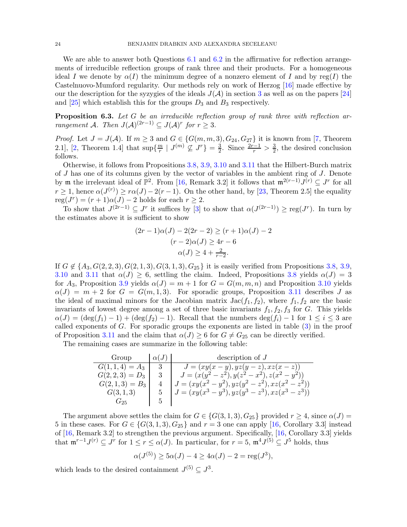We are able to answer both Questions [6.1](#page-22-3) and [6.2](#page-22-4) in the affirmative for reflection arrangements of irreducible reflection groups of rank three and their products. For a homogeneous ideal I we denote by  $\alpha(I)$  the minimum degree of a nonzero element of I and by reg(I) the Castelnuovo-Mumford regularity. Our methods rely on work of Herzog [\[16\]](#page-25-19) made effective by our the description for the syzygies of the ideals  $J(A)$  in section [3](#page-4-0) as well as on the papers [\[24\]](#page-26-8) and  $[25]$  which establish this for the groups  $D_3$  and  $B_3$  respectively.

<span id="page-23-0"></span>Proposition 6.3. Let G be an irreducible reflection group of rank three with reflection arrangement A. Then  $J(A)^{(2r-1)} \subseteq J(A)^r$  for  $r \geq 3$ .

*Proof.* Let  $J = J(A)$ . If  $m \geq 3$  and  $G \in \{G(m, m, 3), G_{24}, G_{27}\}\$ it is known from [\[7,](#page-25-20) Theorem 2.1, [\[2,](#page-25-0) Theorem 1.4] that  $\sup\{\frac{m}{r}\}$  $\frac{m}{r}$  |  $J^{(m)} \nsubseteq J^r$ } =  $\frac{3}{2}$  $\frac{3}{2}$ . Since  $\frac{2r-1}{r} > \frac{3}{2}$  $\frac{3}{2}$ , the desired conclusion follows.

Otherwise, it follows from Propositions [3.8,](#page-7-0) [3.9,](#page-9-0) [3.10](#page-10-0) and [3.11](#page-11-0) that the Hilbert-Burch matrix of J has one of its columns given by the vector of variables in the ambient ring of J. Denote by **m** the irrelevant ideal of  $\mathbb{P}^2$ . From [\[16,](#page-25-19) Remark 3.2] it follows that  $\mathfrak{m}^{2(r-1)} J^{(r)} \subseteq J^r$  for all  $r \geq 1$ , hence  $\alpha(J^{(r)}) \geq r\alpha(J) - 2(r-1)$ . On the other hand, by [\[23,](#page-25-21) Theorem 2.5] the equality  $reg(J^r) = (r+1)\alpha(J) - 2$  holds for each  $r \geq 2$ .

To show that  $J^{(2r-1)} \subseteq J^r$  it suffices by [\[3\]](#page-25-22) to show that  $\alpha(J^{(2r-1)}) \geq \text{reg}(J^r)$ . In turn by the estimates above it is sufficient to show

$$
(2r - 1)\alpha(J) - 2(2r - 2) \ge (r + 1)\alpha(J) - 2
$$

$$
(r - 2)\alpha(J) \ge 4r - 6
$$

$$
\alpha(J) \ge 4 + \frac{2}{r - 2}.
$$

If  $G \notin \{A_3, G(2, 2, 3), G(2, 1, 3), G(3, 1, 3), G_{25}\}\$  it is easily verified from Propositions [3.8,](#page-7-0) [3.9,](#page-9-0) [3.10](#page-10-0) and [3.11](#page-11-0) that  $\alpha(J) \geq 6$ , settling the claim. Indeed, Propositions [3.8](#page-7-0) yields  $\alpha(J) = 3$ for  $A_3$ , Proposition [3.9](#page-9-0) yields  $\alpha(J) = m + 1$  for  $G = G(m, m, n)$  and Proposition [3.10](#page-10-0) yields  $\alpha(J) = m + 2$  for  $G = G(m, 1, 3)$ . For sporadic groups, Proposition [3.11](#page-11-0) describes J as the ideal of maximal minors for the Jacobian matrix  $Jac(f_1, f_2)$ , where  $f_1, f_2$  are the basic invariants of lowest degree among a set of three basic invariants  $f_1, f_2, f_3$  for G. This yields  $\alpha(J) = (\deg(f_1) - 1) + (\deg(f_2) - 1)$ . Recall that the numbers  $\deg(f_i) - 1$  for  $1 \leq i \leq 3$  are called exponents of  $G$ . For sporadic groups the exponents are listed in table  $(3)$  in the proof of Proposition [3.11](#page-11-0) and the claim that  $\alpha(J) \geq 6$  for  $G \neq G_{25}$  can be directly verified.

The remaining cases are summarize in the following table:

| Group            | $\alpha(J)$ | description of $J$                                  |
|------------------|-------------|-----------------------------------------------------|
| $G(1,1,4) = A_3$ | -3          | $J = (xy(x - y), yz(y - z), xz(x - z))$             |
| $G(2,2,3)=D_3$   |             | $J = (x(y^2 - z^2), y(z^2 - x^2), z(x^2 - y^2))$    |
| $G(2,1,3) = B_3$ |             | $J = (xy(x^2 - y^2), yz(y^2 - z^2), xz(x^2 - z^2))$ |
| G(3,1,3)         | 5           | $J = (xy(x^3 - y^3), yz(y^3 - z^3), xz(x^3 - z^3))$ |
| G 25             | h,          |                                                     |

The argument above settles the claim for  $G \in \{G(3,1,3), G_{25}\}\$  provided  $r \geq 4$ , since  $\alpha(J)$  = 5 in these cases. For  $G \in \{G(3,1,3), G_{25}\}\$  and  $r = 3$  one can apply [\[16,](#page-25-19) Corollary 3.3] instead of [\[16,](#page-25-19) Remark 3.2] to strengthen the previous argument. Specifically, [\[16,](#page-25-19) Corollary 3.3] yields that  $\mathfrak{m}^{r-1}J^{(r)} \subseteq J^r$  for  $1 \leq r \leq \alpha(J)$ . In particular, for  $r = 5$ ,  $\mathfrak{m}^4J^{(5)} \subseteq J^5$  holds, thus

$$
\alpha(J^{(5)}) \ge 5\alpha(J) - 4 \ge 4\alpha(J) - 2 = \text{reg}(J^3),
$$

which leads to the desired containment  $J^{(5)} \subseteq J^3$ .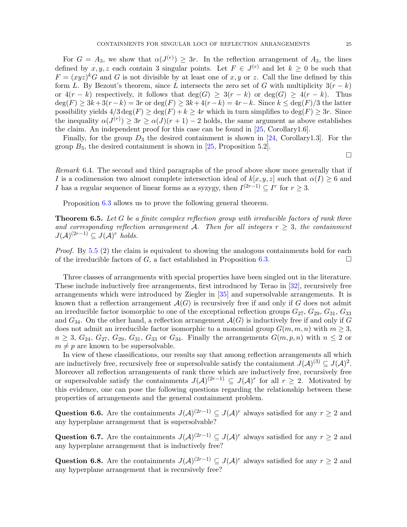For  $G = A_3$ , we show that  $\alpha(J^{(r)}) \geq 3r$ . In the reflection arrangement of  $A_3$ , the lines defined by  $x, y, z$  each contain 3 singular points. Let  $F \in J^{(r)}$  and let  $k \geq 0$  be such that  $F = (xyz)^k G$  and G is not divisible by at least one of x, y or z. Call the line defined by this form L. By Bezout's theorem, since L intersects the zero set of G with multiplicity  $3(r - k)$ or  $4(r-k)$  respectively, it follows that  $\deg(G) \geq 3(r-k)$  or  $\deg(G) \geq 4(r-k)$ . Thus  $\deg(F) \geq 3k+3(r-k) = 3r$  or  $\deg(F) \geq 3k+4(r-k) = 4r-k$ . Since  $k \leq \deg(F)/3$  the latter possibility yields  $4/3 \deg(F) \ge \deg(F) + k \ge 4r$  which in turn simplifies to  $\deg(F) \ge 3r$ . Since the inequality  $\alpha(J^{(r)}) \geq 3r \geq \alpha(J)(r+1) - 2$  holds, the same argument as above establishes the claim. An independent proof for this case can be found in [\[25,](#page-26-9) Corollary1.6].

Finally, for the group  $D_3$  the desired containment is shown in [\[24,](#page-26-8) Corollary1.3]. For the group  $B_3$ , the desired containment is shown in [\[25,](#page-26-9) Proposition 5.2].

 $\Box$ 

Remark 6.4. The second and third paragraphs of the proof above show more generally that if I is a codimension two almost complete intersection ideal of  $k[x, y, z]$  such that  $\alpha(I) \geq 6$  and *I* has a regular sequence of linear forms as a syzygy, then  $I^{(2r-1)} \subseteq I^r$  for  $r \geq 3$ .

Proposition [6.3](#page-23-0) allows us to prove the following general theorem.

<span id="page-24-0"></span>**Theorem 6.5.** Let G be a finite complex reflection group with irreducible factors of rank three and corresponding reflection arrangement A. Then for all integers  $r \geq 3$ , the containment  $J(\mathcal{A})^{(2r-1)} \subseteq J(\mathcal{A})^r$  holds.

*Proof.* By [5.5](#page-18-1) (2) the claim is equivalent to showing the analogous containments hold for each of the irreducible factors of G, a fact established in Proposition [6.3.](#page-23-0)

Three classes of arrangements with special properties have been singled out in the literature. These include inductively free arrangements, first introduced by Terao in [\[32\]](#page-26-10), recursively free arrangements which were introduced by Ziegler in [\[35\]](#page-26-11) and supersolvable arrangements. It is known that a reflection arrangement  $\mathcal{A}(G)$  is recursively free if and only if G does not admit an irreducible factor isomorphic to one of the exceptional reflection groups  $G_{27}$ ,  $G_{29}$ ,  $G_{31}$ ,  $G_{33}$ and  $G_{34}$ . On the other hand, a reflection arrangement  $\mathcal{A}(G)$  is inductively free if and only if G does not admit an irreducible factor isomorphic to a monomial group  $G(m, m, n)$  with  $m \geq 3$ ,  $n \geq 3$ ,  $G_{24}$ ,  $G_{27}$ ,  $G_{29}$ ,  $G_{31}$ ,  $G_{33}$  or  $G_{34}$ . Finally the arrangements  $G(m, p, n)$  with  $n \leq 2$  or  $m \neq p$  are known to be supersolvable.

In view of these classifications, our results say that among reflection arrangements all which are inductively free, recursively free or supersolvable satisfy the containment  $J(A)^{(3)} \subseteq J(A)^2$ . Moreover all reflection arrangements of rank three which are inductively free, recursively free or supersolvable satisfy the containments  $J(A)^{(2r-1)} \subseteq J(A)^r$  for all  $r \geq 2$ . Motivated by this evidence, one can pose the following questions regarding the relationship between these properties of arrangements and the general containment problem.

Question 6.6. Are the containments  $J(A)^{(2r-1)} \subseteq J(A)^r$  always satisfied for any  $r \geq 2$  and any hyperplane arrangement that is supersolvable?

Question 6.7. Are the containments  $J(A)^{(2r-1)} \subseteq J(A)^r$  always satisfied for any  $r \geq 2$  and any hyperplane arrangement that is inductively free?

Question 6.8. Are the containments  $J(A)^{(2r-1)} \subseteq J(A)^r$  always satisfied for any  $r \geq 2$  and any hyperplane arrangement that is recursively free?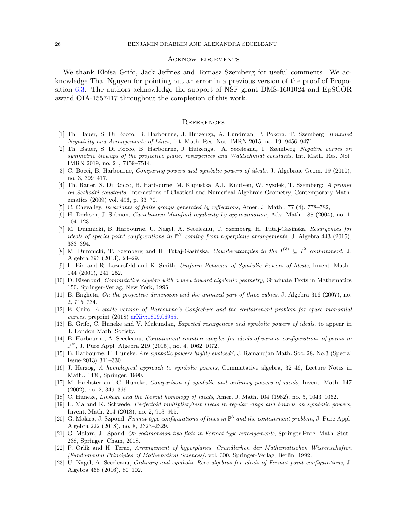### Acknowledgements

We thank Eloísa Grifo, Jack Jeffries and Tomasz Szemberg for useful comments. We acknowledge Thai Nguyen for pointing out an error in a previous version of the proof of Proposition [6.3.](#page-23-0) The authors acknowledge the support of NSF grant DMS-1601024 and EpSCOR award OIA-1557417 throughout the completion of this work.

#### **REFERENCES**

- <span id="page-25-7"></span><span id="page-25-0"></span>[1] Th. Bauer, S. Di Rocco, B. Harbourne, J. Huizenga, A. Lundman, P. Pokora, T. Szemberg. Bounded Negativity and Arrangements of Lines, Int. Math. Res. Not. IMRN 2015, no. 19, 9456–9471.
- [2] Th. Bauer, S. Di Rocco, B. Harbourne, J. Huizenga, A. Seceleanu, T. Szemberg. Negative curves on symmetric blowups of the projective plane, resurgences and Waldschmidt constants, Int. Math. Res. Not. IMRN 2019, no. 24, 7459–7514.
- <span id="page-25-22"></span>[3] C. Bocci, B. Harbourne, Comparing powers and symbolic powers of ideals, J. Algebraic Geom. 19 (2010), no. 3, 399–417.
- <span id="page-25-12"></span>[4] Th. Bauer, S. Di Rocco, B. Harbourne, M. Kapustka, A.L. Knutsen, W. Syzdek, T. Szemberg: A primer on Seshadri constants, Interactions of Classical and Numerical Algebraic Geometry, Contemporary Mathematics (2009) vol. 496, p. 33–70.
- <span id="page-25-17"></span><span id="page-25-9"></span>[5] C. Chevalley, Invariants of finite groups generated by reflections, Amer. J. Math., 77 (4), 778–782,
- <span id="page-25-20"></span>[6] H. Derksen, J. Sidman, Castelnuovo-Mumford regularity by approximation, Adv. Math. 188 (2004), no. 1, 104–123.
- [7] M. Dumnicki, B. Harbourne, U. Nagel, A. Seceleanu, T. Szemberg, H. Tutaj-Gasińska, Resurgences for ideals of special point configurations in  $\mathbb{P}^N$  coming from hyperplane arrangements, J. Algebra 443 (2015), 383–394.
- <span id="page-25-1"></span>[8] M. Dumnicki, T. Szemberg and H. Tutaj-Gasińska. Counterexamples to the  $I^{(3)} \subseteq I^2$  containment, J. Algebra 393 (2013), 24–29.
- <span id="page-25-4"></span>[9] L. Ein and R. Lazarsfeld and K. Smith, Uniform Behavior of Symbolic Powers of Ideals, Invent. Math., 144 (2001), 241–252.
- <span id="page-25-16"></span>[10] D. Eisenbud, Commutative algebra with a view toward algebraic geometry, Graduate Texts in Mathematics 150, Springer-Verlag, New York, 1995.
- <span id="page-25-15"></span>[11] B. Engheta, On the projective dimension and the unmixed part of three cubics, J. Algebra 316 (2007), no. 2, 715–734.
- <span id="page-25-8"></span>[12] E. Grifo, A stable version of Harbourne's Conjecture and the containment problem for space monomial curves, preprint (2018) [arXiv:1809.06955.](https://arxiv.org/abs/1809.06955)
- <span id="page-25-11"></span>[13] E. Grifo, C. Huneke and V. Mukundan, Expected resurgences and symbolic powers of ideals, to appear in J. London Math. Society.
- <span id="page-25-2"></span>[14] B. Harbourne, A. Seceleanu, Containment counterexamples for ideals of various configurations of points in  $\mathbb{P}^N$ , J. Pure Appl. Algebra 219 (2015), no. 4, 1062–1072.
- <span id="page-25-13"></span>[15] B. Harbourne, H. Huneke. Are symbolic powers highly evolved?, J. Ramanujan Math. Soc. 28, No.3 (Special Issue-2013) 311–330.
- <span id="page-25-19"></span>[16] J. Herzog, A homological approach to symbolic powers, Commutative algebra, 32–46, Lecture Notes in Math., 1430, Springer, 1990.
- <span id="page-25-5"></span>[17] M. Hochster and C. Huneke, Comparison of symbolic and ordinary powers of ideals, Invent. Math. 147 (2002), no. 2, 349–369.
- <span id="page-25-18"></span><span id="page-25-6"></span>[18] C. Huneke, *Linkage and the Koszul homology of ideals*, Amer. J. Math. 104 (1982), no. 5, 1043–1062.
- [19] L. Ma and K. Schwede. Perfectoid multiplier/test ideals in regular rings and bounds on symbolic powers, Invent. Math. 214 (2018), no. 2, 913–955.
- <span id="page-25-3"></span>[20] G. Malara, J. Szpond. Fermat-type configurations of lines in  $\mathbb{P}^3$  and the containment problem, J. Pure Appl. Algebra 222 (2018), no. 8, 2323–2329.
- <span id="page-25-14"></span>[21] G. Malara, J. Spond. On codimension two flats in Fermat-type arrangements, Springer Proc. Math. Stat., 238, Springer, Cham, 2018.
- <span id="page-25-10"></span>[22] P. Orlik and H. Terao, Arrangement of hyperplanes, Grundlerhen der Mathematischen Wissenschaften [Fundamental Principles of Mathematical Sciences]. vol. 300. Springer-Verlag, Berlin, 1992.
- <span id="page-25-21"></span>[23] U. Nagel, A. Seceleanu, Ordinary and symbolic Rees algebras for ideals of Fermat point configurations, J. Algebra 468 (2016), 80–102.